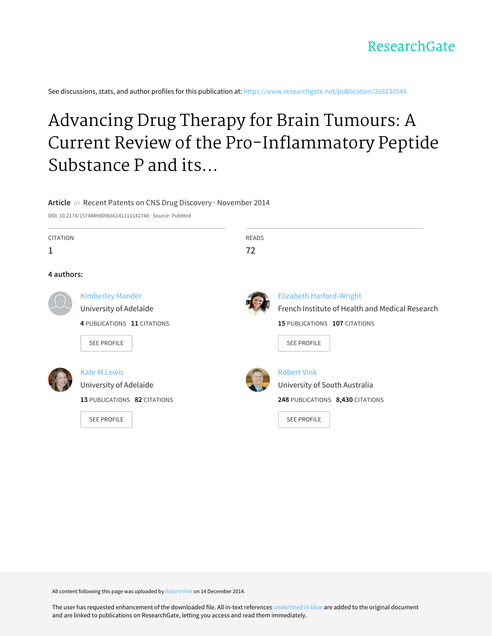See discussions, stats, and author profiles for this publication at: [https://www.researchgate.net/publication/268230548](https://www.researchgate.net/publication/268230548_Advancing_Drug_Therapy_for_Brain_Tumours_A_Current_Review_of_the_Pro-Inflammatory_Peptide_Substance_P_and_its_Antagonists_as_Anti-Cancer_Agents?enrichId=rgreq-b0d70aede874858f301fcc6219be96ac-XXX&enrichSource=Y292ZXJQYWdlOzI2ODIzMDU0ODtBUzoxNzQ0MDYwODA5MzM4ODhAMTQxODU5MzA1ODY0OA%3D%3D&el=1_x_2&_esc=publicationCoverPdf)

# Advancing Drug Therapy for Brain Tumours: A Current Review of the Pro-Inflammatory Peptide Substance P and its...

### **Article** in Recent Patents on CNS Drug Discovery · November 2014

DOI: 10.2174/1574889809666141111142740 · Source: PubMed

| <b>CITATION</b><br>1 |                                                                                                        | <b>READS</b><br>72 |                                                                                                                                           |
|----------------------|--------------------------------------------------------------------------------------------------------|--------------------|-------------------------------------------------------------------------------------------------------------------------------------------|
| 4 authors:           |                                                                                                        |                    |                                                                                                                                           |
|                      | <b>Kimberley Mander</b><br>University of Adelaide<br>4 PUBLICATIONS 11 CITATIONS<br><b>SEE PROFILE</b> |                    | <b>Elizabeth Harford-Wright</b><br>French Institute of Health and Medical Research<br>15 PUBLICATIONS 107 CITATIONS<br><b>SEE PROFILE</b> |
|                      | <b>Kate M Lewis</b><br>University of Adelaide<br>13 PUBLICATIONS 82 CITATIONS<br><b>SEE PROFILE</b>    |                    | <b>Robert Vink</b><br>University of South Australia<br>248 PUBLICATIONS 8,430 CITATIONS<br><b>SEE PROFILE</b>                             |

All content following this page was uploaded by [Robert](https://www.researchgate.net/profile/Robert_Vink?enrichId=rgreq-b0d70aede874858f301fcc6219be96ac-XXX&enrichSource=Y292ZXJQYWdlOzI2ODIzMDU0ODtBUzoxNzQ0MDYwODA5MzM4ODhAMTQxODU5MzA1ODY0OA%3D%3D&el=1_x_10&_esc=publicationCoverPdf) Vink on 14 December 2014.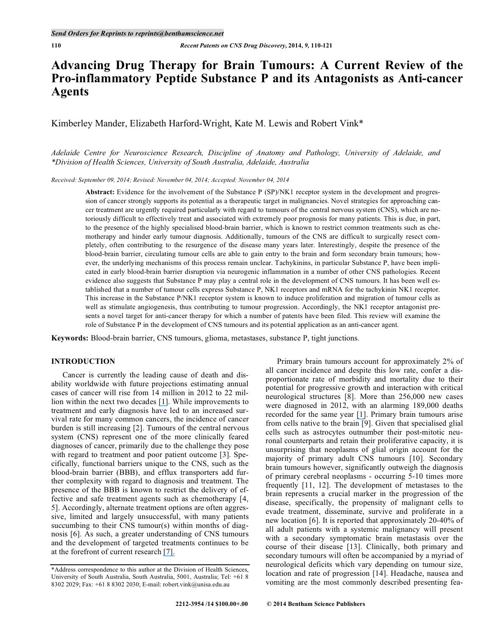# **Advancing Drug Therapy for Brain Tumours: A Current Review of the Pro-inflammatory Peptide Substance P and its Antagonists as Anti-cancer Agents**

Kimberley Mander, Elizabeth Harford-Wright, Kate M. Lewis and Robert Vink\*

*Adelaide Centre for Neuroscience Research, Discipline of Anatomy and Pathology, University of Adelaide, and \*Division of Health Sciences, University of South Australia, Adelaide, Australia* 

*Received: September 09, 2014; Revised: November 04, 2014; Accepted: November 04, 2014*

**Abstract:** Evidence for the involvement of the Substance P (SP)/NK1 receptor system in the development and progression of cancer strongly supports its potential as a therapeutic target in malignancies. Novel strategies for approaching cancer treatment are urgently required particularly with regard to tumours of the central nervous system (CNS), which are notoriously difficult to effectively treat and associated with extremely poor prognosis for many patients. This is due, in part, to the presence of the highly specialised blood-brain barrier, which is known to restrict common treatments such as chemotherapy and hinder early tumour diagnosis. Additionally, tumours of the CNS are difficult to surgically resect completely, often contributing to the resurgence of the disease many years later. Interestingly, despite the presence of the blood-brain barrier, circulating tumour cells are able to gain entry to the brain and form secondary brain tumours; however, the underlying mechanisms of this process remain unclear. Tachykinins, in particular Substance P, have been implicated in early blood-brain barrier disruption via neurogenic inflammation in a number of other CNS pathologies. Recent evidence also suggests that Substance P may play a central role in the development of CNS tumours. It has been well established that a number of tumour cells express Substance P, NK1 receptors and mRNA for the tachykinin NK1 receptor. This increase in the Substance P/NK1 receptor system is known to induce proliferation and migration of tumour cells as well as stimulate angiogenesis, thus contributing to tumour progression. Accordingly, the NK1 receptor antagonist presents a novel target for anti-cancer therapy for which a number of patents have been filed. This review will examine the role of Substance P in the development of CNS tumours and its potential application as an anti-cancer agent.

**Keywords:** Blood-brain barrier, CNS tumours, glioma, metastases, substance P, tight junctions.

# **INTRODUCTION**

 Cancer is currently the leading cause of death and disability worldwide with future projections estimating annual cases of cancer will rise from 14 million in 2012 to 22 million within the next two decades [\[1\]](https://www.researchgate.net/publication/6416786_LIF_upregulates_expression_of_NK-1R_in_NHBE_cells?el=1_x_8&enrichId=rgreq-b0d70aede874858f301fcc6219be96ac-XXX&enrichSource=Y292ZXJQYWdlOzI2ODIzMDU0ODtBUzoxNzQ0MDYwODA5MzM4ODhAMTQxODU5MzA1ODY0OA==). While improvements to treatment and early diagnosis have led to an increased survival rate for many common cancers, the incidence of cancer burden is still increasing [2]. Tumours of the central nervous system (CNS) represent one of the more clinically feared diagnoses of cancer, primarily due to the challenge they pose with regard to treatment and poor patient outcome [3]. Specifically, functional barriers unique to the CNS, such as the blood-brain barrier (BBB), and efflux transporters add further complexity with regard to diagnosis and treatment. The presence of the BBB is known to restrict the delivery of effective and safe treatment agents such as chemotherapy [4, 5]. Accordingly, alternate treatment options are often aggressive, limited and largely unsuccessful, with many patients succumbing to their CNS tumour(s) within months of diagnosis [6]. As such, a greater understanding of CNS tumours and the development of targeted treatments continues to be at the forefront of current research [\[7\].](https://www.researchgate.net/publication/230696027_Drug_treatment_for_melanoma_progress_but_who_pays_REPLY?el=1_x_8&enrichId=rgreq-b0d70aede874858f301fcc6219be96ac-XXX&enrichSource=Y292ZXJQYWdlOzI2ODIzMDU0ODtBUzoxNzQ0MDYwODA5MzM4ODhAMTQxODU5MzA1ODY0OA==) 

 Primary brain tumours account for approximately 2% of all cancer incidence and despite this low rate, confer a disproportionate rate of morbidity and mortality due to their potential for progressive growth and interaction with critical neurological structures [8]. More than 256,000 new cases were diagnosed in 2012, with an alarming 189,000 deaths recorded for the same year [\[1\]](https://www.researchgate.net/publication/6416786_LIF_upregulates_expression_of_NK-1R_in_NHBE_cells?el=1_x_8&enrichId=rgreq-b0d70aede874858f301fcc6219be96ac-XXX&enrichSource=Y292ZXJQYWdlOzI2ODIzMDU0ODtBUzoxNzQ0MDYwODA5MzM4ODhAMTQxODU5MzA1ODY0OA==). Primary brain tumours arise from cells native to the brain  $\lceil 9 \rceil$ . Given that specialised glial cells such as astrocytes outnumber their post-mitotic neuronal counterparts and retain their proliferative capacity, it is unsurprising that neoplasms of glial origin account for the majority of primary adult CNS tumours [10]. Secondary brain tumours however, significantly outweigh the diagnosis of primary cerebral neoplasms - occurring 5-10 times more frequently [11, 12]. The development of metastases to the brain represents a crucial marker in the progression of the disease, specifically, the propensity of malignant cells to evade treatment, disseminate, survive and proliferate in a new location [6]. It is reported that approximately 20-40% of all adult patients with a systemic malignancy will present with a secondary symptomatic brain metastasis over the course of their disease [13]. Clinically, both primary and secondary tumours will often be accompanied by a myriad of neurological deficits which vary depending on tumour size, location and rate of progression [14]. Headache, nausea and vomiting are the most commonly described presenting fea-

<sup>\*</sup>Address correspondence to this author at the Division of Health Sciences, University of South Australia, South Australia, 5001, Australia; Tel: +61 8 8302 2029; Fax: +61 8 8302 2030; E-mail: robert.vink@unisa.edu.au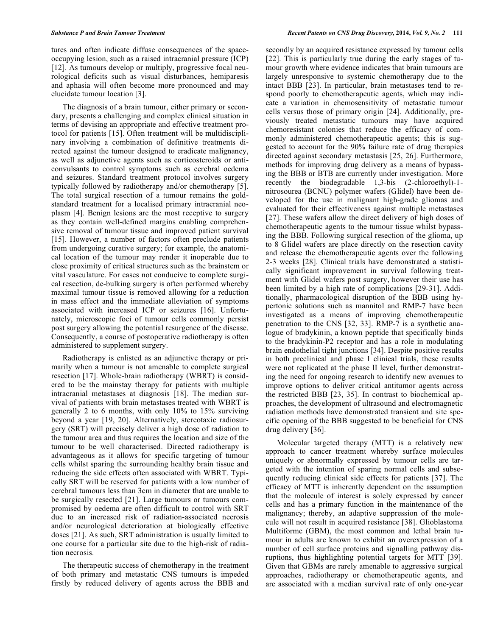tures and often indicate diffuse consequences of the spaceoccupying lesion, such as a raised intracranial pressure (ICP) [12]. As tumours develop or multiply, progressive focal neurological deficits such as visual disturbances, hemiparesis and aphasia will often become more pronounced and may elucidate tumour location [3].

 The diagnosis of a brain tumour, either primary or secondary, presents a challenging and complex clinical situation in terms of devising an appropriate and effective treatment protocol for patients [15]. Often treatment will be multidisciplinary involving a combination of definitive treatments directed against the tumour designed to eradicate malignancy, as well as adjunctive agents such as corticosteroids or anticonvulsants to control symptoms such as cerebral oedema and seizures. Standard treatment protocol involves surgery typically followed by radiotherapy and/or chemotherapy [5]. The total surgical resection of a tumour remains the goldstandard treatment for a localised primary intracranial neoplasm [4]. Benign lesions are the most receptive to surgery as they contain well-defined margins enabling comprehensive removal of tumour tissue and improved patient survival [15]. However, a number of factors often preclude patients from undergoing curative surgery; for example, the anatomical location of the tumour may render it inoperable due to close proximity of critical structures such as the brainstem or vital vasculature. For cases not conducive to complete surgical resection, de-bulking surgery is often performed whereby maximal tumour tissue is removed allowing for a reduction in mass effect and the immediate alleviation of symptoms associated with increased ICP or seizures [16]. Unfortunately, microscopic foci of tumour cells commonly persist post surgery allowing the potential resurgence of the disease. Consequently, a course of postoperative radiotherapy is often administered to supplement surgery.

 Radiotherapy is enlisted as an adjunctive therapy or primarily when a tumour is not amenable to complete surgical resection [17]. Whole-brain radiotherapy (WBRT) is considered to be the mainstay therapy for patients with multiple intracranial metastases at diagnosis [18]. The median survival of patients with brain metastases treated with WBRT is generally 2 to 6 months, with only 10% to 15% surviving beyond a year [19, 20]. Alternatively, stereotaxic radiosurgery (SRT) will precisely deliver a high dose of radiation to the tumour area and thus requires the location and size of the tumour to be well characterised. Directed radiotherapy is advantageous as it allows for specific targeting of tumour cells whilst sparing the surrounding healthy brain tissue and reducing the side effects often associated with WBRT. Typically SRT will be reserved for patients with a low number of cerebral tumours less than 3cm in diameter that are unable to be surgically resected [21]. Large tumours or tumours compromised by oedema are often difficult to control with SRT due to an increased risk of radiation-associated necrosis and/or neurological deterioration at biologically effective doses [21]. As such, SRT administration is usually limited to one course for a particular site due to the high-risk of radiation necrosis.

 The therapeutic success of chemotherapy in the treatment of both primary and metastatic CNS tumours is impeded firstly by reduced delivery of agents across the BBB and

secondly by an acquired resistance expressed by tumour cells [22]. This is particularly true during the early stages of tumour growth where evidence indicates that brain tumours are largely unresponsive to systemic chemotherapy due to the intact BBB [23]. In particular, brain metastases tend to respond poorly to chemotherapeutic agents, which may indicate a variation in chemosensitivity of metastatic tumour cells versus those of primary origin [24]. Additionally, previously treated metastatic tumours may have acquired chemoresistant colonies that reduce the efficacy of commonly administered chemotherapeutic agents; this is suggested to account for the 90% failure rate of drug therapies directed against secondary metastasis [25, 26]. Furthermore, methods for improving drug delivery as a means of bypassing the BBB or BTB are currently under investigation. More recently the biodegradable 1,3-bis (2-chloroethyl)-1 nitrosourea (BCNU) polymer wafers (Glidel) have been developed for the use in malignant high-grade gliomas and evaluated for their effectiveness against multiple metastases [27]. These wafers allow the direct delivery of high doses of chemotherapeutic agents to the tumour tissue whilst bypassing the BBB. Following surgical resection of the glioma, up to 8 Glidel wafers are place directly on the resection cavity and release the chemotherapeutic agents over the following 2-3 weeks [28]. Clinical trials have demonstrated a statistically significant improvement in survival following treatment with Glidel wafers post surgery, however their use has been limited by a high rate of complications [29-31]. Additionally, pharmacological disruption of the BBB using hypertonic solutions such as mannitol and RMP-7 have been investigated as a means of improving chemotherapeutic penetration to the CNS [32, 33]. RMP-7 is a synthetic analogue of bradykinin, a known peptide that specifically binds to the bradykinin-P2 receptor and has a role in modulating brain endothelial tight junctions [34]. Despite positive results in both preclinical and phase I clinical trials, these results were not replicated at the phase II level, further demonstrating the need for ongoing research to identify new avenues to improve options to deliver critical antitumor agents across the restricted BBB [23, 35]. In contrast to biochemical approaches, the development of ultrasound and electromagnetic radiation methods have demonstrated transient and site specific opening of the BBB suggested to be beneficial for CNS drug delivery [36].

 Molecular targeted therapy (MTT) is a relatively new approach to cancer treatment whereby surface molecules uniquely or abnormally expressed by tumour cells are targeted with the intention of sparing normal cells and subsequently reducing clinical side effects for patients [37]. The efficacy of MTT is inherently dependent on the assumption that the molecule of interest is solely expressed by cancer cells and has a primary function in the maintenance of the malignancy; thereby, an adaptive suppression of the molecule will not result in acquired resistance [38]. Glioblastoma Multiforme (GBM), the most common and lethal brain tumour in adults are known to exhibit an overexpression of a number of cell surface proteins and signalling pathway disruptions, thus highlighting potential targets for MTT [39]. Given that GBMs are rarely amenable to aggressive surgical approaches, radiotherapy or chemotherapeutic agents, and are associated with a median survival rate of only one-year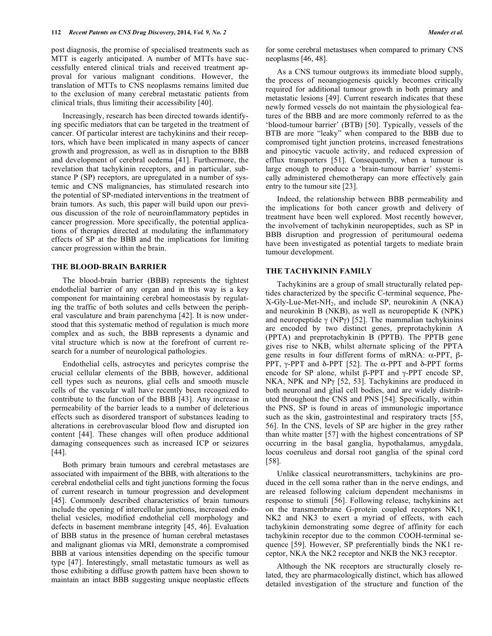post diagnosis, the promise of specialised treatments such as MTT is eagerly anticipated. A number of MTTs have successfully entered clinical trials and received treatment approval for various malignant conditions. However, the translation of MTTs to CNS neoplasms remains limited due to the exclusion of many cerebral metastatic patients from clinical trials, thus limiting their accessibility [40].

 Increasingly, research has been directed towards identifying specific mediators that can be targeted in the treatment of cancer. Of particular interest are tachykinins and their receptors, which have been implicated in many aspects of cancer growth and progression, as well as in disruption to the BBB and development of cerebral oedema [41]. Furthermore, the revelation that tachykinin receptors, and in particular, substance P (SP) receptors, are upregulated in a number of systemic and CNS malignancies, has stimulated research into the potential of SP-mediated interventions in the treatment of brain tumors. As such, this paper will build upon our previous discussion of the role of neuroinflammatory peptides in cancer progression. More specifically, the potential applications of therapies directed at modulating the inflammatory effects of SP at the BBB and the implications for limiting cancer progression within the brain.

#### **THE BLOOD-BRAIN BARRIER**

 The blood-brain barrier (BBB) represents the tightest endothelial barrier of any organ and in this way is a key component for maintaining cerebral homeostasis by regulating the traffic of both solutes and cells between the peripheral vasculature and brain parenchyma [42]. It is now understood that this systematic method of regulation is much more complex and as such, the BBB represents a dynamic and vital structure which is now at the forefront of current research for a number of neurological pathologies.

 Endothelial cells, astrocytes and pericytes comprise the crucial cellular elements of the BBB, however, additional cell types such as neurons, glial cells and smooth muscle cells of the vascular wall have recently been recognized to contribute to the function of the BBB [43]. Any increase in permeability of the barrier leads to a number of deleterious effects such as disordered transport of substances leading to alterations in cerebrovascular blood flow and disrupted ion content [44]. These changes will often produce additional damaging consequences such as increased ICP or seizures [44].

 Both primary brain tumours and cerebral metastases are associated with impairment of the BBB, with alterations to the cerebral endothelial cells and tight junctions forming the focus of current research in tumour progression and development [45]. Commonly described characteristics of brain tumours include the opening of intercellular junctions, increased endothelial vesicles, modified endothelial cell morphology and defects in basement membrane integrity [45, 46]. Evaluation of BBB status in the presence of human cerebral metastases and malignant gliomas via MRI, demonstrate a compromised BBB at various intensities depending on the specific tumour type [47]. Interestingly, small metastatic tumours as well as those exhibiting a diffuse growth pattern have been shown to maintain an intact BBB suggesting unique neoplastic effects for some cerebral metastases when compared to primary CNS neoplasms [46, 48].

 As a CNS tumour outgrows its immediate blood supply, the process of neoangiogenesis quickly becomes critically required for additional tumour growth in both primary and metastatic lesions [49]. Current research indicates that these newly formed vessels do not maintain the physiological features of the BBB and are more commonly referred to as the 'blood-tumour barrier' (BTB) [50]. Typically, vessels of the BTB are more "leaky" when compared to the BBB due to compromised tight junction proteins, increased fenestrations and pinocytic vacuole activity, and reduced expression of efflux transporters [51]. Consequently, when a tumour is large enough to produce a 'brain-tumour barrier' systemically administered chemotherapy can more effectively gain entry to the tumour site [23].

 Indeed, the relationship between BBB permeability and the implications for both cancer growth and delivery of treatment have been well explored. Most recently however, the involvement of tachykinin neuropeptides, such as SP in BBB disruption and progression of peritumoural oedema have been investigated as potential targets to mediate brain tumour development.

### **THE TACHYKININ FAMILY**

 Tachykinins are a group of small structurally related peptides characterized by the specific C-terminal sequence, Phe-X-Gly-Lue-Met-NH2, and include SP, neurokinin A (NKA) and neurokinin B (NKB), as well as neuropeptide K (NPK) and neuropeptide  $\gamma$  (NP $\gamma$ ) [52]. The mammalian tachykinins are encoded by two distinct genes, preprotachykinin A (PPTA) and preprotachykinin B (PPTB). The PPTB gene gives rise to NKB, whilst alternate splicing of the PPTA gene results in four different forms of mRNA:  $\alpha$ -PPT,  $\beta$ -PPT,  $\gamma$ -PPT and  $\delta$ -PPT [52]. The  $\alpha$ -PPT and  $\delta$ -PPT forms encode for SP alone, whilst  $\beta$ -PPT and  $\gamma$ -PPT encode SP, NKA, NPK and NP $\gamma$  [52, 53]. Tachykinins are produced in both neuronal and glial cell bodies, and are widely distributed throughout the CNS and PNS [54]. Specifically, within the PNS, SP is found in areas of immunologic importance such as the skin, gastrointestinal and respiratory tracts [55, 56]. In the CNS, levels of SP are higher in the grey rather than white matter [57] with the highest concentrations of SP occurring in the basal ganglia, hypothalamus, amygdala, locus coeruleus and dorsal root ganglia of the spinal cord [58].

 Unlike classical neurotransmitters, tachykinins are produced in the cell soma rather than in the nerve endings, and are released following calcium dependent mechanisms in response to stimuli [56]. Following release, tachykinins act on the transmembrane G-protein coupled receptors NK1, NK2 and NK3 to exert a myriad of effects, with each tachykinin demonstrating some degree of affinity for each tachykinin receptor due to the common COOH-terminal sequence [59]. However, SP preferentially binds the NK1 receptor, NKA the NK2 receptor and NKB the NK3 receptor.

 Although the NK receptors are structurally closely related, they are pharmacologically distinct, which has allowed detailed investigation of the structure and function of the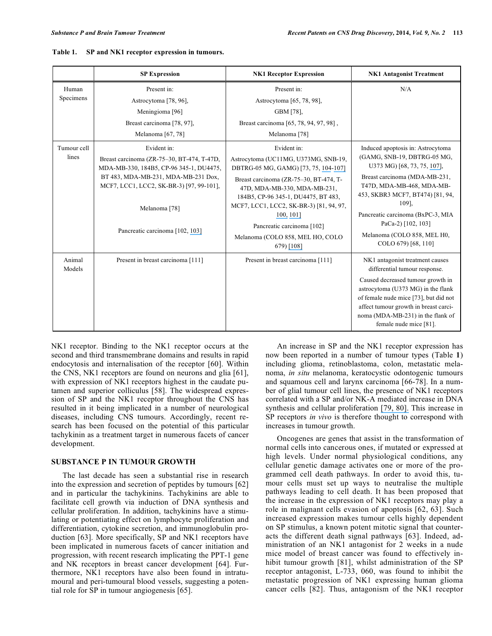|                      | <b>SP Expression</b>                                                                                                                                                                                 | <b>NK1 Receptor Expression</b>                                                                                | <b>NK1 Antagonist Treatment</b>                                                                                                                                                                                          |
|----------------------|------------------------------------------------------------------------------------------------------------------------------------------------------------------------------------------------------|---------------------------------------------------------------------------------------------------------------|--------------------------------------------------------------------------------------------------------------------------------------------------------------------------------------------------------------------------|
| Human                | Present in:                                                                                                                                                                                          | Present in:                                                                                                   | N/A                                                                                                                                                                                                                      |
| Specimens            | Astrocytoma [78, 96],                                                                                                                                                                                | Astrocytoma [65, 78, 98],                                                                                     |                                                                                                                                                                                                                          |
|                      | Meningioma <sup>[96]</sup>                                                                                                                                                                           | GBM [78],                                                                                                     |                                                                                                                                                                                                                          |
|                      | Breast carcinoma [78, 97],                                                                                                                                                                           | Breast carcinoma [65, 78, 94, 97, 98],                                                                        |                                                                                                                                                                                                                          |
|                      | Melanoma [67, 78]                                                                                                                                                                                    | Melanoma <sup>[78]</sup>                                                                                      |                                                                                                                                                                                                                          |
| Tumour cell<br>lines | Evident in:                                                                                                                                                                                          | Evident in:                                                                                                   | Induced apoptosis in: Astrocytoma                                                                                                                                                                                        |
|                      | Breast carcinoma (ZR-75-30, BT-474, T-47D,<br>MDA-MB-330, 184B5, CP-96 345-1, DU4475,<br>BT 483, MDA-MB-231, MDA-MB-231 Dox,<br>MCF7, LCC1, LCC2, SK-BR-3) [97, 99-101],<br>Melanoma <sup>[78]</sup> | Astrocytoma (UC11MG, U373MG, SNB-19,<br>DBTRG-05 MG, GAMG) [73, 75, 104-107]                                  | (GAMG, SNB-19, DBTRG-05 MG,<br>U373 MG) [68, 73, 75, 107],                                                                                                                                                               |
|                      |                                                                                                                                                                                                      | Breast carcinoma (ZR-75-30, BT-474, T-<br>47D, MDA-MB-330, MDA-MB-231,<br>184B5, CP-96 345-1, DU4475, BT 483, | Breast carcinoma (MDA-MB-231,<br>T47D, MDA-MB-468, MDA-MB-<br>453, SKBR3 MCF7, BT474) [81, 94,                                                                                                                           |
|                      |                                                                                                                                                                                                      | MCF7, LCC1, LCC2, SK-BR-3) [81, 94, 97,<br>100, 1011                                                          | 109].<br>Pancreatic carcinoma (BxPC-3, MIA                                                                                                                                                                               |
|                      | Pancreatic carcinoma [102, 103]                                                                                                                                                                      | Pancreatic carcinoma <sup>[102]</sup><br>Melanoma (COLO 858, MEL HO, COLO<br>679) [108]                       | PaCa-2) [102, 103]<br>Melanoma (COLO 858, MEL H0,<br>COLO 679) [68, 110]                                                                                                                                                 |
| Animal<br>Models     | Present in breast carcinoma [111]                                                                                                                                                                    | Present in breast carcinoma [111]                                                                             | NK1 antagonist treatment causes<br>differential tumour response.                                                                                                                                                         |
|                      |                                                                                                                                                                                                      |                                                                                                               | Caused decreased tumour growth in<br>astrocytoma (U373 MG) in the flank<br>of female nude mice [73], but did not<br>affect tumour growth in breast carci-<br>noma (MDA-MB-231) in the flank of<br>female nude mice [81]. |

NK1 receptor. Binding to the NK1 receptor occurs at the second and third transmembrane domains and results in rapid endocytosis and internalisation of the receptor [60]. Within the CNS, NK1 receptors are found on neurons and glia [61], with expression of NK1 receptors highest in the caudate putamen and superior colliculus [58]. The widespread expression of SP and the NK1 receptor throughout the CNS has resulted in it being implicated in a number of neurological diseases, including CNS tumours. Accordingly, recent research has been focused on the potential of this particular tachykinin as a treatment target in numerous facets of cancer development.

## **SUBSTANCE P IN TUMOUR GROWTH**

 The last decade has seen a substantial rise in research into the expression and secretion of peptides by tumours [62] and in particular the tachykinins. Tachykinins are able to facilitate cell growth via induction of DNA synthesis and cellular proliferation. In addition, tachykinins have a stimulating or potentiating effect on lymphocyte proliferation and differentiation, cytokine secretion, and immunoglobulin production [63]. More specifically, SP and NK1 receptors have been implicated in numerous facets of cancer initiation and progression, with recent research implicating the PPT-1 gene and NK receptors in breast cancer development [64]. Furthermore, NK1 receptors have also been found in intratumoural and peri-tumoural blood vessels, suggesting a potential role for SP in tumour angiogenesis [65].

 An increase in SP and the NK1 receptor expression has now been reported in a number of tumour types (Table **1**) including glioma, retinoblastoma, colon, metastatic melanoma, *in situ* melanoma, keratocystic odontogenic tumours and squamous cell and larynx carcinoma [66-78]. In a number of glial tumour cell lines, the presence of NK1 receptors correlated with a SP and/or NK-A mediated increase in DNA synthesis and cellular proliferation [\[79, 80\].](https://www.researchgate.net/publication/14310749_Substance_P-induced_mitogenesis_in_human_astrocytoma_cells_correlates_with_activation_of_the_mitogen-activated_protein_kinase_signaling_pathway?el=1_x_8&enrichId=rgreq-b0d70aede874858f301fcc6219be96ac-XXX&enrichSource=Y292ZXJQYWdlOzI2ODIzMDU0ODtBUzoxNzQ0MDYwODA5MzM4ODhAMTQxODU5MzA1ODY0OA==) This increase in SP receptors *in vivo* is therefore thought to correspond with increases in tumour growth.

 Oncogenes are genes that assist in the transformation of normal cells into cancerous ones, if mutated or expressed at high levels. Under normal physiological conditions, any cellular genetic damage activates one or more of the programmed cell death pathways. In order to avoid this, tumour cells must set up ways to neutralise the multiple pathways leading to cell death. It has been proposed that the increase in the expression of NK1 receptors may play a role in malignant cells evasion of apoptosis [62, 63]. Such increased expression makes tumour cells highly dependent on SP stimulus, a known potent mitotic signal that counteracts the different death signal pathways [63]. Indeed, administration of an NK1 antagonist for 2 weeks in a nude mice model of breast cancer was found to effectively inhibit tumour growth [81], whilst administration of the SP receptor antagonist, L-733, 060, was found to inhibit the metastatic progression of NK1 expressing human glioma cancer cells [82]. Thus, antagonism of the NK1 receptor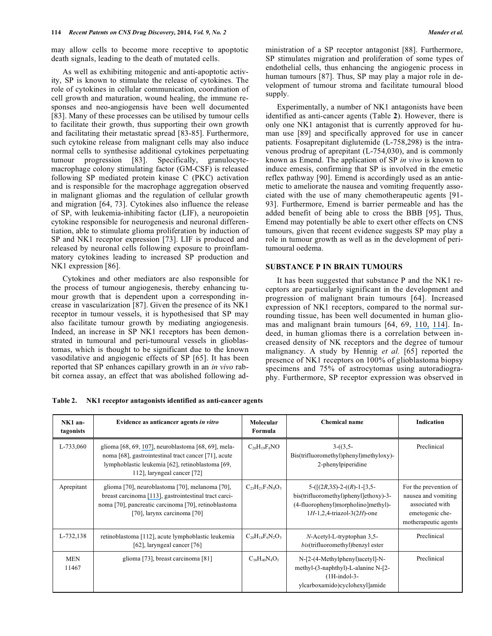may allow cells to become more receptive to apoptotic death signals, leading to the death of mutated cells.

 As well as exhibiting mitogenic and anti-apoptotic activity, SP is known to stimulate the release of cytokines. The role of cytokines in cellular communication, coordination of cell growth and maturation, wound healing, the immune responses and neo-angiogensis have been well documented [83]. Many of these processes can be utilised by tumour cells to facilitate their growth, thus supporting their own growth and facilitating their metastatic spread [83-85]. Furthermore, such cytokine release from malignant cells may also induce normal cells to synthesise additional cytokines perpetuating tumour progression [83]. Specifically, granulocytemacrophage colony stimulating factor (GM-CSF) is released following SP mediated protein kinase C (PKC) activation and is responsible for the macrophage aggregation observed in malignant gliomas and the regulation of cellular growth and migration [64, 73]. Cytokines also influence the release of SP, with leukemia-inhibiting factor (LIF), a neuropoietin cytokine responsible for neurogenesis and neuronal differentiation, able to stimulate glioma proliferation by induction of SP and NK1 receptor expression [73]. LIF is produced and released by neuronal cells following exposure to proinflammatory cytokines leading to increased SP production and NK1 expression [86].

 Cytokines and other mediators are also responsible for the process of tumour angiogenesis, thereby enhancing tumour growth that is dependent upon a corresponding increase in vascularization [87]. Given the presence of its NK1 receptor in tumour vessels, it is hypothesised that SP may also facilitate tumour growth by mediating angiogenesis. Indeed, an increase in SP NK1 receptors has been demonstrated in tumoural and peri-tumoural vessels in glioblastomas, which is thought to be significant due to the known vasodilative and angiogenic effects of SP [65]. It has been reported that SP enhances capillary growth in an *in vivo* rabbit cornea assay, an effect that was abolished following ad-

 Experimentally, a number of NK1 antagonists have been identified as anti-cancer agents (Table **2**). However, there is only one NK1 antagonist that is currently approved for human use [89] and specifically approved for use in cancer patients. Fosaprepitant diglutemide (L-758,298) is the intravenous prodrug of aprepitant (L-754,030), and is commonly known as Emend. The application of SP *in vivo* is known to induce emesis, confirming that SP is involved in the emetic reflex pathway [90]. Emend is accordingly used as an antiemetic to ameliorate the nausea and vomiting frequently associated with the use of many chemotherapeutic agents [91- 93]. Furthermore, Emend is barrier permeable and has the added benefit of being able to cross the BBB [95]**.** Thus, Emend may potentially be able to exert other effects on CNS tumours, given that recent evidence suggests SP may play a role in tumour growth as well as in the development of peritumoural oedema.

# **SUBSTANCE P IN BRAIN TUMOURS**

 It has been suggested that substance P and the NK1 receptors are particularly significant in the development and progression of malignant brain tumours [64]. Increased expression of NK1 receptors, compared to the normal surrounding tissue, has been well documented in human gliomas and malignant brain tumours [64, 69, [110,](https://www.researchgate.net/publication/23792468_The_NK-1_receptor_antagonist_aprepitant_as_a_broad_spectrum_antitumor_drug?el=1_x_8&enrichId=rgreq-b0d70aede874858f301fcc6219be96ac-XXX&enrichSource=Y292ZXJQYWdlOzI2ODIzMDU0ODtBUzoxNzQ0MDYwODA5MzM4ODhAMTQxODU5MzA1ODY0OA==) [114\]](https://www.researchgate.net/publication/20611457_Functional_substance_P_receptors_on_a_human_astrocytoma_cell_line_U-373_MG?el=1_x_8&enrichId=rgreq-b0d70aede874858f301fcc6219be96ac-XXX&enrichSource=Y292ZXJQYWdlOzI2ODIzMDU0ODtBUzoxNzQ0MDYwODA5MzM4ODhAMTQxODU5MzA1ODY0OA==). Indeed, in human gliomas there is a correlation between increased density of NK receptors and the degree of tumour malignancy. A study by Hennig *et al.* [65] reported the presence of NK1 receptors on 100% of glioblastoma biopsy specimens and 75% of astrocytomas using autoradiography. Furthermore, SP receptor expression was observed in

**Table 2. NK1 receptor antagonists identified as anti-cancer agents** 

| NK1 an-<br>tagonists | Evidence as anticancer agents in vitro                                                                                                                                                          | Molecular<br>Formula    | Chemical name                                                                                                                                   | Indication                                                                                                 |
|----------------------|-------------------------------------------------------------------------------------------------------------------------------------------------------------------------------------------------|-------------------------|-------------------------------------------------------------------------------------------------------------------------------------------------|------------------------------------------------------------------------------------------------------------|
| L-733,060            | glioma [68, 69, 107], neuroblastoma [68, 69], mela-<br>noma [68], gastrointestinal tract cancer [71], acute<br>lymphoblastic leukemia [62], retinoblastoma [69,<br>112], laryngeal cancer [72]  | $C_{20}H_{19}F_6NO$     | $3-(3,5-$<br>Bis(trifluoromethyl)phenyl)methyloxy)-<br>2-phenylpiperidine                                                                       | Preclinical                                                                                                |
| Aprepitant           | glioma [70], neuroblastoma [70], melanoma [70],<br>breast carcinoma [113], gastrointestinal tract carci-<br>noma [70], pancreatic carcinoma [70], retinoblastoma<br>[70], larynx carcinoma [70] | $C_{23}H_{21}F_7N_4O_3$ | $5-([(2R,3S)-2-((R)-1-[3,5-$<br>bis(trifluoromethyl)phenyl]ethoxy)-3-<br>(4-fluorophenyl)morpholino]methyl)-<br>$1H-1, 2, 4-triazol-3(2H)$ -one | For the prevention of<br>nausea and vomiting<br>associated with<br>emetogenic che-<br>motherapeutic agents |
| L-732,138            | retinoblastoma [112], acute lymphoblastic leukemia<br>[62], laryngeal cancer [76]                                                                                                               | $C_{20}H_{18}F_6N_2O_3$ | $N$ -Acetyl-L-tryptophan 3,5-<br><i>bis</i> (trifluoromethyl)benzyl ester                                                                       | Preclinical                                                                                                |
| <b>MEN</b><br>11467  | glioma [73], breast carcinoma [81]                                                                                                                                                              | $C_{38}H_{40}N_4O_3$    | $N-[2-(4-Methylphenyl)acetyl-N-$<br>methyl-(3-naphthyl)-L-alanine N-[2-<br>$(1H-indol-3-$<br>ylcarboxamido)cyclohexyllamide                     | Preclinical                                                                                                |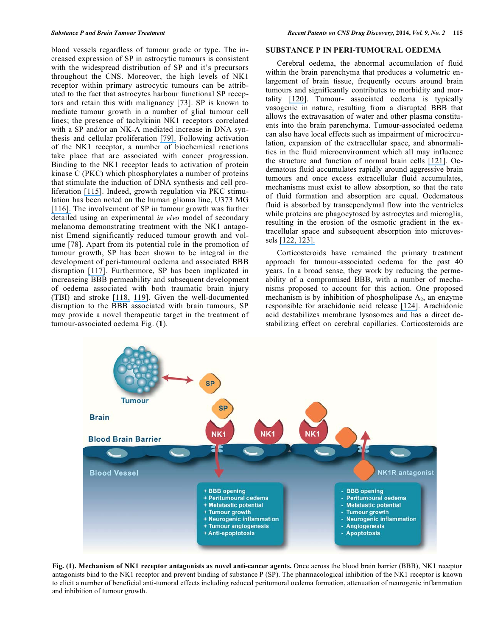blood vessels regardless of tumour grade or type. The increased expression of SP in astrocytic tumours is consistent with the widespread distribution of SP and it's precursors throughout the CNS. Moreover, the high levels of NK1 receptor within primary astrocytic tumours can be attributed to the fact that astrocytes harbour functional SP receptors and retain this with malignancy [73]. SP is known to mediate tumour growth in a number of glial tumour cell lines; the presence of tachykinin NK1 receptors correlated with a SP and/or an NK-A mediated increase in DNA synthesis and cellular proliferation [\[79\].](https://www.researchgate.net/publication/14310749_Substance_P-induced_mitogenesis_in_human_astrocytoma_cells_correlates_with_activation_of_the_mitogen-activated_protein_kinase_signaling_pathway?el=1_x_8&enrichId=rgreq-b0d70aede874858f301fcc6219be96ac-XXX&enrichSource=Y292ZXJQYWdlOzI2ODIzMDU0ODtBUzoxNzQ0MDYwODA5MzM4ODhAMTQxODU5MzA1ODY0OA==) Following activation of the NK1 receptor, a number of biochemical reactions take place that are associated with cancer progression. Binding to the NK1 receptor leads to activation of protein kinase C (PKC) which phosphorylates a number of proteins that stimulate the induction of DNA synthesis and cell proliferation [\[115\]](https://www.researchgate.net/publication/15515885_Neurotrasmitter_functions_of_mammalian_tachykinins?el=1_x_8&enrichId=rgreq-b0d70aede874858f301fcc6219be96ac-XXX&enrichSource=Y292ZXJQYWdlOzI2ODIzMDU0ODtBUzoxNzQ0MDYwODA5MzM4ODhAMTQxODU5MzA1ODY0OA==). Indeed, growth regulation via PKC stimulation has been noted on the human glioma line, U373 MG [\[116\].](https://www.researchgate.net/publication/7731546_Signal_transduction_through_substance_P_receptor_in_human_glioblastoma_cells_Roles_for_Src_and_PKCd?el=1_x_8&enrichId=rgreq-b0d70aede874858f301fcc6219be96ac-XXX&enrichSource=Y292ZXJQYWdlOzI2ODIzMDU0ODtBUzoxNzQ0MDYwODA5MzM4ODhAMTQxODU5MzA1ODY0OA==) The involvement of SP in tumour growth was further detailed using an experimental *in vivo* model of secondary melanoma demonstrating treatment with the NK1 antagonist Emend significantly reduced tumour growth and volume [78]. Apart from its potential role in the promotion of tumour growth, SP has been shown to be integral in the development of peri-tumoural oedema and associated BBB disruption [\[117\]](https://www.researchgate.net/publication/262267469_Treatment_with_the_NK1_Antagonist_Emend_Reduces_Blood_Brain_Barrier_Dysfunction_and_Edema_Formation_in_an_Experimental_Model_of_Brain_Tumors?el=1_x_8&enrichId=rgreq-b0d70aede874858f301fcc6219be96ac-XXX&enrichSource=Y292ZXJQYWdlOzI2ODIzMDU0ODtBUzoxNzQ0MDYwODA5MzM4ODhAMTQxODU5MzA1ODY0OA==). Furthermore, SP has been implicated in increaseing BBB permeability and subsequent development of oedema associated with both traumatic brain injury (TBI) and stroke [\[118,](https://www.researchgate.net/publication/24421726_Substance_P_is_associated_with_the_development_of_brain_edema_and_functional_deficits_after_traumatic_brain_injury?el=1_x_8&enrichId=rgreq-b0d70aede874858f301fcc6219be96ac-XXX&enrichSource=Y292ZXJQYWdlOzI2ODIzMDU0ODtBUzoxNzQ0MDYwODA5MzM4ODhAMTQxODU5MzA1ODY0OA==) [119\]](https://www.researchgate.net/publication/51019633_A_substance_P_antagonist_improves_outcome_when_administered_4_h_after_onset_of_ischaemic_stroke?el=1_x_8&enrichId=rgreq-b0d70aede874858f301fcc6219be96ac-XXX&enrichSource=Y292ZXJQYWdlOzI2ODIzMDU0ODtBUzoxNzQ0MDYwODA5MzM4ODhAMTQxODU5MzA1ODY0OA==). Given the well-documented disruption to the BBB associated with brain tumours, SP may provide a novel therapeutic target in the treatment of tumour-associated oedema Fig. (**1**).

# **SUBSTANCE P IN PERI-TUMOURAL OEDEMA**

 Cerebral oedema, the abnormal accumulation of fluid within the brain parenchyma that produces a volumetric enlargement of brain tissue, frequently occurs around brain tumours and significantly contributes to morbidity and mortality [\[120\]](https://www.researchgate.net/publication/8166743_Edema_and_brain_trauma?el=1_x_8&enrichId=rgreq-b0d70aede874858f301fcc6219be96ac-XXX&enrichSource=Y292ZXJQYWdlOzI2ODIzMDU0ODtBUzoxNzQ0MDYwODA5MzM4ODhAMTQxODU5MzA1ODY0OA==). Tumour- associated oedema is typically vasogenic in nature, resulting from a disrupted BBB that allows the extravasation of water and other plasma constituents into the brain parenchyma. Tumour-associated oedema can also have local effects such as impairment of microcirculation, expansion of the extracellular space, and abnormalities in the fluid microenvironment which all may influence the structure and function of normal brain cells [\[121\]](https://www.researchgate.net/publication/13954700_Hematogenous_metastases_of_the_human_brain_-_Characteristics_of_peritumoral_brain_changes_A_review?el=1_x_8&enrichId=rgreq-b0d70aede874858f301fcc6219be96ac-XXX&enrichSource=Y292ZXJQYWdlOzI2ODIzMDU0ODtBUzoxNzQ0MDYwODA5MzM4ODhAMTQxODU5MzA1ODY0OA==). Oedematous fluid accumulates rapidly around aggressive brain tumours and once excess extracellular fluid accumulates, mechanisms must exist to allow absorption, so that the rate of fluid formation and absorption are equal. Oedematous fluid is absorbed by transependymal flow into the ventricles while proteins are phagocytosed by astrocytes and microglia, resulting in the erosion of the osmotic gradient in the extracellular space and subsequent absorption into microvessels [\[122, 123\].](https://www.researchgate.net/publication/272140399_Peritumoral_Brain_Edema?el=1_x_8&enrichId=rgreq-b0d70aede874858f301fcc6219be96ac-XXX&enrichSource=Y292ZXJQYWdlOzI2ODIzMDU0ODtBUzoxNzQ0MDYwODA5MzM4ODhAMTQxODU5MzA1ODY0OA==)

 Corticosteroids have remained the primary treatment approach for tumour-associated oedema for the past 40 years. In a broad sense, they work by reducing the permeability of a compromised BBB, with a number of mechanisms proposed to account for this action. One proposed mechanism is by inhibition of phospholipase  $A_2$ , an enzyme responsible for arachidonic acid release [\[124\]](https://www.researchgate.net/publication/21050957_Capillary_permeability_factor_secreted_by_malignant_brain_tumor_Role_in_peritumoral_brain_edema_and_possible_mechanism_for_anti-edema_effect_of_glucocorticoids?el=1_x_8&enrichId=rgreq-b0d70aede874858f301fcc6219be96ac-XXX&enrichSource=Y292ZXJQYWdlOzI2ODIzMDU0ODtBUzoxNzQ0MDYwODA5MzM4ODhAMTQxODU5MzA1ODY0OA==). Arachidonic acid destabilizes membrane lysosomes and has a direct destabilizing effect on cerebral capillaries. Corticosteroids are



**Fig. (1). Mechanism of NK1 receptor antagonists as novel anti-cancer agents.** Once across the blood brain barrier (BBB), NK1 receptor antagonists bind to the NK1 receptor and prevent binding of substance P (SP). The pharmacological inhibition of the NK1 receptor is known to elicit a number of beneficial anti-tumoral effects including reduced peritumoral oedema formation, attenuation of neurogenic inflammation and inhibition of tumour growth.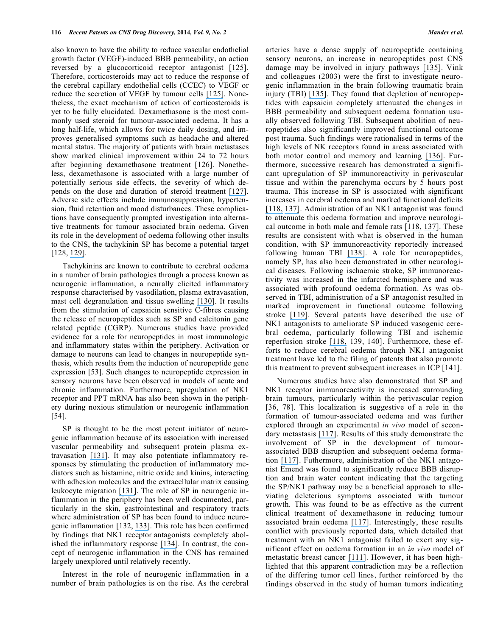also known to have the ability to reduce vascular endothelial growth factor (VEGF)-induced BBB permeability, an action reversed by a glucocorticoid receptor antagonist [\[125\]](https://www.researchgate.net/publication/14382657_Mechanism_of_dexamethasone_suppression_of_brain_tumor-associated_vascular_permeability_in_rats_Involvement_of_the_glucocorticoid_receptor_and_vascular_permeability_factor?el=1_x_8&enrichId=rgreq-b0d70aede874858f301fcc6219be96ac-XXX&enrichSource=Y292ZXJQYWdlOzI2ODIzMDU0ODtBUzoxNzQ0MDYwODA5MzM4ODhAMTQxODU5MzA1ODY0OA==). Therefore, corticosteroids may act to reduce the response of the cerebral capillary endothelial cells (CCEC) to VEGF or reduce the secretion of VEGF by tumour cells [\[125\]](https://www.researchgate.net/publication/14382657_Mechanism_of_dexamethasone_suppression_of_brain_tumor-associated_vascular_permeability_in_rats_Involvement_of_the_glucocorticoid_receptor_and_vascular_permeability_factor?el=1_x_8&enrichId=rgreq-b0d70aede874858f301fcc6219be96ac-XXX&enrichSource=Y292ZXJQYWdlOzI2ODIzMDU0ODtBUzoxNzQ0MDYwODA5MzM4ODhAMTQxODU5MzA1ODY0OA==). Nonetheless, the exact mechanism of action of corticosteroids is yet to be fully elucidated. Dexamethasone is the most commonly used steroid for tumour-associated oedema. It has a long half-life, which allows for twice daily dosing, and improves generalised symptoms such as headache and altered mental status. The majority of patients with brain metastases show marked clinical improvement within 24 to 72 hours after beginning dexamethasone treatment [\[126\]](https://www.researchgate.net/publication/11078811_Management_of_brain_metastases?el=1_x_8&enrichId=rgreq-b0d70aede874858f301fcc6219be96ac-XXX&enrichSource=Y292ZXJQYWdlOzI2ODIzMDU0ODtBUzoxNzQ0MDYwODA5MzM4ODhAMTQxODU5MzA1ODY0OA==). Nonetheless, dexamethasone is associated with a large number of potentially serious side effects, the severity of which depends on the dose and duration of steroid treatment [\[127\]](https://www.researchgate.net/publication/51213139_Corticosteroids_in_brain_cancer_patients_Benefits_and_pitfalls?el=1_x_8&enrichId=rgreq-b0d70aede874858f301fcc6219be96ac-XXX&enrichSource=Y292ZXJQYWdlOzI2ODIzMDU0ODtBUzoxNzQ0MDYwODA5MzM4ODhAMTQxODU5MzA1ODY0OA==). Adverse side effects include immunosuppression, hypertension, fluid retention and mood disturbances. These complications have consequently prompted investigation into alternative treatments for tumour associated brain oedema. Given its role in the development of oedema following other insults to the CNS, the tachykinin SP has become a potential target [128, [129\]](https://www.researchgate.net/publication/8248622_Magnesium_Attenuates_Post-Traumatic_DepressionAnxiety_Following_Diffuse_Traumatic_Brain_Injury_in_Rats?el=1_x_8&enrichId=rgreq-b0d70aede874858f301fcc6219be96ac-XXX&enrichSource=Y292ZXJQYWdlOzI2ODIzMDU0ODtBUzoxNzQ0MDYwODA5MzM4ODhAMTQxODU5MzA1ODY0OA==).

 Tachykinins are known to contribute to cerebral oedema in a number of brain pathologies through a process known as neurogenic inflammation, a neurally elicited inflammatory response characterised by vasodilation, plasma extravasation, mast cell degranulation and tissue swelling [\[130\]](https://www.researchgate.net/publication/12276195_Neurokinin_mediation_of_edema_and_inflammation?el=1_x_8&enrichId=rgreq-b0d70aede874858f301fcc6219be96ac-XXX&enrichSource=Y292ZXJQYWdlOzI2ODIzMDU0ODtBUzoxNzQ0MDYwODA5MzM4ODhAMTQxODU5MzA1ODY0OA==). It results from the stimulation of capsaicin sensitive C-fibres causing the release of neuropeptides such as SP and calcitonin gene related peptide (CGRP). Numerous studies have provided evidence for a role for neuropeptides in most immunologic and inflammatory states within the periphery. Activation or damage to neurons can lead to changes in neuropeptide synthesis, which results from the induction of neuropeptide gene expression [53]. Such changes to neuropeptide expression in sensory neurons have been observed in models of acute and chronic inflammation. Furthermore, upregulation of NK1 receptor and PPT mRNA has also been shown in the periphery during noxious stimulation or neurogenic inflammation [54].

 SP is thought to be the most potent initiator of neurogenic inflammation because of its association with increased vascular permeability and subsequent protein plasma extravasation [\[131\]](https://www.researchgate.net/publication/13772224_REVIEW_Neurogenic_Vasodilatation_and_Plasma_Leakage_in_the_Skin?el=1_x_8&enrichId=rgreq-b0d70aede874858f301fcc6219be96ac-XXX&enrichSource=Y292ZXJQYWdlOzI2ODIzMDU0ODtBUzoxNzQ0MDYwODA5MzM4ODhAMTQxODU5MzA1ODY0OA==). It may also potentiate inflammatory responses by stimulating the production of inflammatory mediators such as histamine, nitric oxide and kinins, interacting with adhesion molecules and the extracellular matrix causing leukocyte migration [\[131\]](https://www.researchgate.net/publication/13772224_REVIEW_Neurogenic_Vasodilatation_and_Plasma_Leakage_in_the_Skin?el=1_x_8&enrichId=rgreq-b0d70aede874858f301fcc6219be96ac-XXX&enrichSource=Y292ZXJQYWdlOzI2ODIzMDU0ODtBUzoxNzQ0MDYwODA5MzM4ODhAMTQxODU5MzA1ODY0OA==). The role of SP in neurogenic inflammation in the periphery has been well documented, particularly in the skin, gastrointestinal and respiratory tracts where administration of SP has been found to induce neurogenic inflammation [132, [133\]](https://www.researchgate.net/publication/10847048_Modulation_of_Cutaneous_Inflammation_by_Angiotensin-Converting_Enzyme?el=1_x_8&enrichId=rgreq-b0d70aede874858f301fcc6219be96ac-XXX&enrichSource=Y292ZXJQYWdlOzI2ODIzMDU0ODtBUzoxNzQ0MDYwODA5MzM4ODhAMTQxODU5MzA1ODY0OA==). This role has been confirmed by findings that NK1 receptor antagonists completely abolished the inflammatory response [\[134\]](https://www.researchgate.net/publication/13662646_Acute_ACE_Inhibition_Causes_Plasma_Extravasation_in_Mice_That_is_Mediated_by_Bradykinin_and_Substance_P?el=1_x_8&enrichId=rgreq-b0d70aede874858f301fcc6219be96ac-XXX&enrichSource=Y292ZXJQYWdlOzI2ODIzMDU0ODtBUzoxNzQ0MDYwODA5MzM4ODhAMTQxODU5MzA1ODY0OA==). In contrast, the concept of neurogenic inflammation in the CNS has remained largely unexplored until relatively recently.

 Interest in the role of neurogenic inflammation in a number of brain pathologies is on the rise. As the cerebral arteries have a dense supply of neuropeptide containing sensory neurons, an increase in neuropeptides post CNS damage may be involved in injury pathways [\[135\]](https://www.researchgate.net/publication/7491056_Neurogenic_inflammation_is_associated_with_development_of_edema_and_functional_deficits_following_traumatic_brain_injury_in_rats?el=1_x_8&enrichId=rgreq-b0d70aede874858f301fcc6219be96ac-XXX&enrichSource=Y292ZXJQYWdlOzI2ODIzMDU0ODtBUzoxNzQ0MDYwODA5MzM4ODhAMTQxODU5MzA1ODY0OA==). Vink and colleagues (2003) were the first to investigate neurogenic inflammation in the brain following traumatic brain injury (TBI) [\[135\]](https://www.researchgate.net/publication/7491056_Neurogenic_inflammation_is_associated_with_development_of_edema_and_functional_deficits_following_traumatic_brain_injury_in_rats?el=1_x_8&enrichId=rgreq-b0d70aede874858f301fcc6219be96ac-XXX&enrichSource=Y292ZXJQYWdlOzI2ODIzMDU0ODtBUzoxNzQ0MDYwODA5MzM4ODhAMTQxODU5MzA1ODY0OA==). They found that depletion of neuropeptides with capsaicin completely attenuated the changes in BBB permeability and subsequent oedema formation usually observed following TBI. Subsequent abolition of neuropeptides also significantly improved functional outcome post trauma. Such findings were rationalised in terms of the high levels of NK receptors found in areas associated with both motor control and memory and learning [\[136\]](https://www.researchgate.net/publication/15670743_Chronic_administration_of_neurokinin_SP_improves_maze_performance_in_aged_Rattus_norvegicus?el=1_x_8&enrichId=rgreq-b0d70aede874858f301fcc6219be96ac-XXX&enrichSource=Y292ZXJQYWdlOzI2ODIzMDU0ODtBUzoxNzQ0MDYwODA5MzM4ODhAMTQxODU5MzA1ODY0OA==). Furthermore, successive research has demonstrated a significant upregulation of SP immunoreactivity in perivascular tissue and within the parenchyma occurs by 5 hours post trauma. This increase in SP is associated with significant increases in cerebral oedema and marked functional deficits [\[118,](https://www.researchgate.net/publication/24421726_Substance_P_is_associated_with_the_development_of_brain_edema_and_functional_deficits_after_traumatic_brain_injury?el=1_x_8&enrichId=rgreq-b0d70aede874858f301fcc6219be96ac-XXX&enrichSource=Y292ZXJQYWdlOzI2ODIzMDU0ODtBUzoxNzQ0MDYwODA5MzM4ODhAMTQxODU5MzA1ODY0OA==) [137\]](https://www.researchgate.net/publication/225277509_A_Substance_P_Antagonist_Improves_Outcome_in_Female_Sprague_Dawley_Rats_Following_Diffuse_Traumatic_Brain_Injury?el=1_x_8&enrichId=rgreq-b0d70aede874858f301fcc6219be96ac-XXX&enrichSource=Y292ZXJQYWdlOzI2ODIzMDU0ODtBUzoxNzQ0MDYwODA5MzM4ODhAMTQxODU5MzA1ODY0OA==). Administration of an NK1 antagonist was found to attenuate this oedema formation and improve neurological outcome in both male and female rats [\[118,](https://www.researchgate.net/publication/24421726_Substance_P_is_associated_with_the_development_of_brain_edema_and_functional_deficits_after_traumatic_brain_injury?el=1_x_8&enrichId=rgreq-b0d70aede874858f301fcc6219be96ac-XXX&enrichSource=Y292ZXJQYWdlOzI2ODIzMDU0ODtBUzoxNzQ0MDYwODA5MzM4ODhAMTQxODU5MzA1ODY0OA==) [137\]](https://www.researchgate.net/publication/225277509_A_Substance_P_Antagonist_Improves_Outcome_in_Female_Sprague_Dawley_Rats_Following_Diffuse_Traumatic_Brain_Injury?el=1_x_8&enrichId=rgreq-b0d70aede874858f301fcc6219be96ac-XXX&enrichSource=Y292ZXJQYWdlOzI2ODIzMDU0ODtBUzoxNzQ0MDYwODA5MzM4ODhAMTQxODU5MzA1ODY0OA==). These results are consistent with what is observed in the human condition, with SP immunoreactivity reportedly increased following human TBI [\[138\]](https://www.researchgate.net/publication/51438864_Substance_P_Immunoreactivity_Increases_Following_Human_Traumatic_Brain_Injury?el=1_x_8&enrichId=rgreq-b0d70aede874858f301fcc6219be96ac-XXX&enrichSource=Y292ZXJQYWdlOzI2ODIzMDU0ODtBUzoxNzQ0MDYwODA5MzM4ODhAMTQxODU5MzA1ODY0OA==). A role for neuropeptides, namely SP, has also been demonstrated in other neurological diseases. Following ischaemic stroke, SP immunoreactivity was increased in the infarcted hemisphere and was associated with profound oedema formation. As was observed in TBI, administration of a SP antagonist resulted in marked improvement in functional outcome following stroke [\[119\]](https://www.researchgate.net/publication/51019633_A_substance_P_antagonist_improves_outcome_when_administered_4_h_after_onset_of_ischaemic_stroke?el=1_x_8&enrichId=rgreq-b0d70aede874858f301fcc6219be96ac-XXX&enrichSource=Y292ZXJQYWdlOzI2ODIzMDU0ODtBUzoxNzQ0MDYwODA5MzM4ODhAMTQxODU5MzA1ODY0OA==). Several patents have described the use of NK1 antagonists to ameliorate SP induced vasogenic cerebral oedema, particularly following TBI and ischemic reperfusion stroke [\[118,](https://www.researchgate.net/publication/24421726_Substance_P_is_associated_with_the_development_of_brain_edema_and_functional_deficits_after_traumatic_brain_injury?el=1_x_8&enrichId=rgreq-b0d70aede874858f301fcc6219be96ac-XXX&enrichSource=Y292ZXJQYWdlOzI2ODIzMDU0ODtBUzoxNzQ0MDYwODA5MzM4ODhAMTQxODU5MzA1ODY0OA==) 139, 140]. Furthermore, these efforts to reduce cerebral oedema through NK1 antagonist treatment have led to the filing of patents that also promote this treatment to prevent subsequent increases in ICP [141].

 Numerous studies have also demonstrated that SP and NK1 receptor immunoreactivity is increased surrounding brain tumours, particularly within the perivascular region [36, 78]. This localization is suggestive of a role in the formation of tumour-associated oedema and was further explored through an experimental *in vivo* model of secondary metastasis [\[117\]](https://www.researchgate.net/publication/262267469_Treatment_with_the_NK1_Antagonist_Emend_Reduces_Blood_Brain_Barrier_Dysfunction_and_Edema_Formation_in_an_Experimental_Model_of_Brain_Tumors?el=1_x_8&enrichId=rgreq-b0d70aede874858f301fcc6219be96ac-XXX&enrichSource=Y292ZXJQYWdlOzI2ODIzMDU0ODtBUzoxNzQ0MDYwODA5MzM4ODhAMTQxODU5MzA1ODY0OA==). Results of this study demonstrate the involvement of SP in the development of tumourassociated BBB disruption and subsequent oedema formation [\[117\]](https://www.researchgate.net/publication/262267469_Treatment_with_the_NK1_Antagonist_Emend_Reduces_Blood_Brain_Barrier_Dysfunction_and_Edema_Formation_in_an_Experimental_Model_of_Brain_Tumors?el=1_x_8&enrichId=rgreq-b0d70aede874858f301fcc6219be96ac-XXX&enrichSource=Y292ZXJQYWdlOzI2ODIzMDU0ODtBUzoxNzQ0MDYwODA5MzM4ODhAMTQxODU5MzA1ODY0OA==). Futhermore, administration of the NK1 antagonist Emend was found to significantly reduce BBB disruption and brain water content indicating that the targeting the SP/NK1 pathway may be a beneficial approach to alleviating deleterious symptoms associated with tumour growth. This was found to be as effective as the current clinical treatment of dexamethasone in reducing tumour associated brain oedema [\[117\]](https://www.researchgate.net/publication/262267469_Treatment_with_the_NK1_Antagonist_Emend_Reduces_Blood_Brain_Barrier_Dysfunction_and_Edema_Formation_in_an_Experimental_Model_of_Brain_Tumors?el=1_x_8&enrichId=rgreq-b0d70aede874858f301fcc6219be96ac-XXX&enrichSource=Y292ZXJQYWdlOzI2ODIzMDU0ODtBUzoxNzQ0MDYwODA5MzM4ODhAMTQxODU5MzA1ODY0OA==). Interestingly, these results conflict with previously reported data, which detailed that treatment with an NK1 antagonist failed to exert any significant effect on oedema formation in an *in vivo* model of metastatic breast cancer [\[111\]](https://www.researchgate.net/publication/225050158_Walker_256_tumour_cells_increase_substance_P_immunoreactivity_locally_and_modify_the_properties_of_the_blood-brain_barrier_during_extravasation_and_brain_invasion?el=1_x_8&enrichId=rgreq-b0d70aede874858f301fcc6219be96ac-XXX&enrichSource=Y292ZXJQYWdlOzI2ODIzMDU0ODtBUzoxNzQ0MDYwODA5MzM4ODhAMTQxODU5MzA1ODY0OA==). However, it has been highlighted that this apparent contradiction may be a reflection of the differing tumor cell lines, further reinforced by the findings observed in the study of human tumors indicating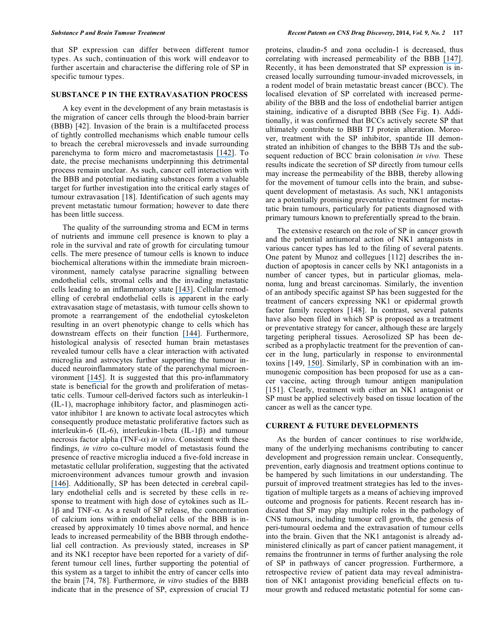that SP expression can differ between different tumor types. As such, continuation of this work will endeavor to further ascertain and characterise the differing role of SP in specific tumour types.

#### **SUBSTANCE P IN THE EXTRAVASATION PROCESS**

 A key event in the development of any brain metastasis is the migration of cancer cells through the blood-brain barrier (BBB) [42]. Invasion of the brain is a multifaceted process of tightly controlled mechanisms which enable tumour cells to breach the cerebral microvessels and invade surrounding parenchyma to form micro and macrometastasis [\[142\]](https://www.researchgate.net/publication/223963360_The_Molecular_Biology_of_Brain_Metastasis?el=1_x_8&enrichId=rgreq-b0d70aede874858f301fcc6219be96ac-XXX&enrichSource=Y292ZXJQYWdlOzI2ODIzMDU0ODtBUzoxNzQ0MDYwODA5MzM4ODhAMTQxODU5MzA1ODY0OA==). To date, the precise mechanisms underpinning this detrimental process remain unclear. As such, cancer cell interaction with the BBB and potential mediating substances form a valuable target for further investigation into the critical early stages of tumour extravasation [18]. Identification of such agents may prevent metastatic tumour formation; however to date there has been little success.

 The quality of the surrounding stroma and ECM in terms of nutrients and immune cell presence is known to play a role in the survival and rate of growth for circulating tumour cells. The mere presence of tumour cells is known to induce biochemical alterations within the immediate brain microenvironment, namely catalyse paracrine signalling between endothelial cells, stromal cells and the invading metastatic cells leading to an inflammatory state [\[143\]](https://www.researchgate.net/publication/235337752_Innovative_Therapeutic_Strategies_in_the_Treatment_of_Brain_Metastases?el=1_x_8&enrichId=rgreq-b0d70aede874858f301fcc6219be96ac-XXX&enrichSource=Y292ZXJQYWdlOzI2ODIzMDU0ODtBUzoxNzQ0MDYwODA5MzM4ODhAMTQxODU5MzA1ODY0OA==). Cellular remodelling of cerebral endothelial cells is apparent in the early extravasation stage of metastasis, with tumour cells shown to promote a rearrangement of the endothelial cytoskeleton resulting in an overt phenotypic change to cells which has downstream effects on their function [\[144\]](https://www.researchgate.net/publication/23801328_Mechanics_malignancy_and_metastasis_The_force_journey_of_a_tumor_cell?el=1_x_8&enrichId=rgreq-b0d70aede874858f301fcc6219be96ac-XXX&enrichSource=Y292ZXJQYWdlOzI2ODIzMDU0ODtBUzoxNzQ0MDYwODA5MzM4ODhAMTQxODU5MzA1ODY0OA==). Furthermore, histological analysis of resected human brain metastases revealed tumour cells have a clear interaction with activated microglia and astrocytes further supporting the tumour induced neuroinflammatory state of the parenchymal microenvironment [\[145\]](https://www.researchgate.net/publication/51031289_Brain_metastases_as_preventive_and_therapeutic_targets?el=1_x_8&enrichId=rgreq-b0d70aede874858f301fcc6219be96ac-XXX&enrichSource=Y292ZXJQYWdlOzI2ODIzMDU0ODtBUzoxNzQ0MDYwODA5MzM4ODhAMTQxODU5MzA1ODY0OA==). It is suggested that this pro-inflammatory state is beneficial for the growth and proliferation of metastatic cells. Tumour cell-derived factors such as interleukin-1 (IL-1), macrophage inhibitory factor, and plasminogen activator inhibitor 1 are known to activate local astrocytes which consequently produce metastatic proliferative factors such as interleukin-6 (IL-6), interleukin-1beta (IL-1 $\beta$ ) and tumour necrosis factor alpha (TNF- $\alpha$ ) *in vitro*. Consistent with these findings, *in vitro* co-culture model of metastasis found the presence of reactive microglia induced a five-fold increase in metastatic cellular proliferation, suggesting that the activated microenvironment advances tumour growth and invasion [\[146\]](https://www.researchgate.net/publication/51046060_The_biology_of_brain_metastases-translation_to_new_therapies?el=1_x_8&enrichId=rgreq-b0d70aede874858f301fcc6219be96ac-XXX&enrichSource=Y292ZXJQYWdlOzI2ODIzMDU0ODtBUzoxNzQ0MDYwODA5MzM4ODhAMTQxODU5MzA1ODY0OA==). Additionally, SP has been detected in cerebral capillary endothelial cells and is secreted by these cells in response to treatment with high dose of cytokines such as IL- $1\beta$  and TNF- $\alpha$ . As a result of SP release, the concentration of calcium ions within endothelial cells of the BBB is increased by approximately 10 times above normal, and hence leads to increased permeability of the BBB through endothelial cell contraction. As previously stated, increases in SP and its NK1 receptor have been reported for a variety of different tumour cell lines, further supporting the potential of this system as a target to inhibit the entry of cancer cells into the brain [74, 78]. Furthermore, *in vitro* studies of the BBB indicate that in the presence of SP, expression of crucial TJ

proteins, claudin-5 and zona occludin-1 is decreased, thus correlating with increased permeability of the BBB [\[147\]](https://www.researchgate.net/publication/255735840_The_pro-inflammatory_peptide_Substance_P_promotes_blood-brain_barrier_breaching_by_breast_cancer_cells_through_changes_in_microvascular_endothelial_cell_tight_junctions?el=1_x_8&enrichId=rgreq-b0d70aede874858f301fcc6219be96ac-XXX&enrichSource=Y292ZXJQYWdlOzI2ODIzMDU0ODtBUzoxNzQ0MDYwODA5MzM4ODhAMTQxODU5MzA1ODY0OA==). Recently, it has been demonstrated that SP expression is increased locally surrounding tumour-invaded microvessels, in a rodent model of brain metastatic breast cancer (BCC). The localised elevation of SP correlated with increased permeability of the BBB and the loss of endothelial barrier antigen staining, indicative of a disrupted BBB (See Fig. **1**). Additionally, it was confirmed that BCCs actively secrete SP that ultimately contribute to BBB TJ protein alteration. Moreover, treatment with the SP inhibitor, spantide III demonstrated an inhibition of changes to the BBB TJs and the subsequent reduction of BCC brain colonisation *in vivo.* These results indicate the secretion of SP directly from tumour cells may increase the permeability of the BBB, thereby allowing for the movement of tumour cells into the brain, and subsequent development of metastasis. As such, NK1 antagonists are a potentially promising preventative treatment for metastatic brain tumours, particularly for patients diagnosed with primary tumours known to preferentially spread to the brain.

 The extensive research on the role of SP in cancer growth and the potential antiumoral action of NK1 antagonists in various cancer types has led to the filing of several patents. One patent by Munoz and collegues [112] describes the induction of apoptosis in cancer cells by NK1 antagonists in a number of cancer types, but in particular gliomas, melanoma, lung and breast carcinomas. Similarly, the invention of an antibody specific against SP has been suggested for the treatment of cancers expressing NK1 or epidermal growth factor family receptors [148]. In contrast, several patents have also been filed in which SP is proposed as a treatment or preventative strategy for cancer, although these are largely targeting peripheral tissues. Aerosolized SP has been described as a prophylactic treatment for the prevention of cancer in the lung, particularly in response to environmental toxins [149, [150\]](https://www.researchgate.net/publication/10639527_Aerosolized_substance_P_protects_against_cigarette-induced_lung_damage_and_tumor_development?el=1_x_8&enrichId=rgreq-b0d70aede874858f301fcc6219be96ac-XXX&enrichSource=Y292ZXJQYWdlOzI2ODIzMDU0ODtBUzoxNzQ0MDYwODA5MzM4ODhAMTQxODU5MzA1ODY0OA==). Similarly, SP in combination with an immunogenic composition has been proposed for use as a cancer vaccine, acting through tumour antigen manipulation [151]. Clearly, treatment with either an NK1 antagonist or SP must be applied selectively based on tissue location of the cancer as well as the cancer type.

### **CURRENT & FUTURE DEVELOPMENTS**

 As the burden of cancer continues to rise worldwide, many of the underlying mechanisms contributing to cancer development and progression remain unclear. Consequently, prevention, early diagnosis and treatment options continue to be hampered by such limitations in our understanding. The pursuit of improved treatment strategies has led to the investigation of multiple targets as a means of achieving improved outcome and prognosis for patients. Recent research has indicated that SP may play multiple roles in the pathology of CNS tumours, including tumour cell growth, the genesis of peri-tumoural oedema and the extravasation of tumour cells into the brain. Given that the NK1 antagonist is already administered clinically as part of cancer patient management, it remains the frontrunner in terms of further analysing the role of SP in pathways of cancer progression. Furthermore, a retrospective review of patient data may reveal administration of NK1 antagonist providing beneficial effects on tumour growth and reduced metastatic potential for some can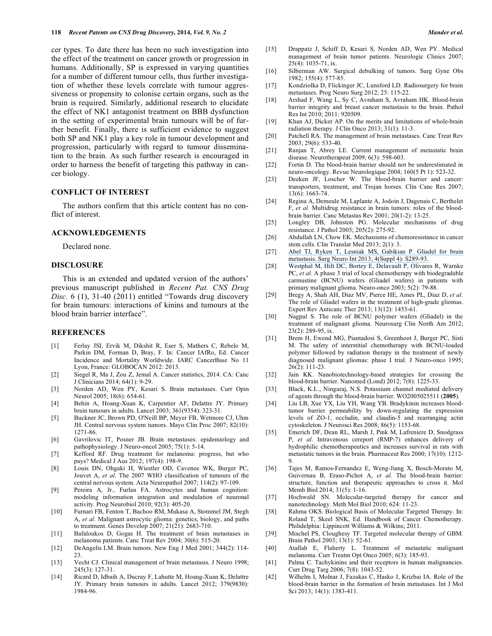cer types. To date there has been no such investigation into the effect of the treatment on cancer growth or progression in humans. Additionally, SP is expressed in varying quantities for a number of different tumour cells, thus further investigation of whether these levels correlate with tumour aggressiveness or propensity to colonise certain organs, such as the brain is required. Similarly, additional research to elucidate the effect of NK1 antagonist treatment on BBB dysfunction in the setting of experimental brain tumours will be of further benefit. Finally, there is sufficient evidence to suggest both SP and NK1 play a key role in tumour development and progression, particularly with regard to tumour dissemination to the brain. As such further research is encouraged in order to harness the benefit of targeting this pathway in cancer biology.

# **CONFLICT OF INTEREST**

 The authors confirm that this article content has no conflict of interest.

#### **ACKNOWLEDGEMENTS**

Declared none.

# **DISCLOSURE**

 This is an extended and updated version of the authors' previous manuscript published in *Recent Pat. CNS Drug*  Disc.  $6$  (1),  $31-40$  (2011) entitled "Towards drug discovery for brain tumours: interactions of kinins and tumours at the blood brain barrier interface".

#### **REFERENCES**

- [1] Ferlay JSI, Ervik M, Dikshit R, Eser S, Mathers C, Rebelo M, Parkin DM, Forman D, Bray, F. In: Cancer IAfRo, Ed. Cancer Incidence and Mortality Worldwide. IARC CancerBase No 11 Lyon, France: GLOBOCAN 2012: 2013.
- [2] Siegel R, Ma J, Zou Z, Jemal A. Cancer statistics, 2014. CA: Canc J Clinicians 2014; 64(1): 9-29.
- [3] Norden AD, Wen PY, Kesari S. Brain metastases. Curr Opin Neurol 2005; 18(6): 654-61.
- [4] Behin A, Hoang-Xuan K, Carpentier AF, Delattre JY. Primary brain tumours in adults. Lancet 2003; 361(9354): 323-31.
- [5] Buckner JC, Brown PD, O'Neill BP, Meyer FB, Wetmore CJ, Uhm JH. Central nervous system tumors. Mayo Clin Proc 2007; 82(10): 1271-86.
- [6] Gavrilovic IT, Posner JB. Brain metastases: epidemiology and pathophysiology. J Neuro-oncol 2005; 75(1): 5-14.
- [7] Kefford RF. Drug treatment for melanoma: progress, but who pays? Medical J Aus 2012; 197(4): 198-9.
- [8] Louis DN, Ohgaki H, Wiestler OD, Cavenee WK, Burger PC, Jouvet A, *et al*. The 2007 WHO classification of tumours of the central nervous system. Acta Neuropathol 2007; 114(2): 97-109.
- [9] Pereira A, Jr., Furlan FA. Astrocytes and human cognition: modeling information integration and modulation of neuronal activity. Prog Neurobiol 2010; 92(3): 405-20.
- [10] Furnari FB, Fenton T, Bachoo RM, Mukasa A, Stommel JM, Stegh A, *et al*. Malignant astrocytic glioma: genetics, biology, and paths to treatment. Genes Develop 2007; 21(21): 2683-710.
- [11] Bafaloukos D, Gogas H. The treatment of brain metastases in melanoma patients. Canc Treat Rev 2004; 30(6): 515-20.
- [12] DeAngelis LM. Brain tumors. New Eng J Med 2001; 344(2): 114- 23.
- [13] Vecht CJ. Clinical management of brain metastasis. J Neuro 1998; 245(3): 127-31.
- [14] Ricard D, Idbaih A, Ducray F, Lahutte M, Hoang-Xuan K, Delattre JY. Primary brain tumours in adults. Lancet 2012; 379(9830): 1984-96.
- [15] Drappatz J, Schiff D, Kesari S, Norden AD, Wen PY. Medical management of brain tumor patients. Neurologic Clinics 2007; 25(4): 1035-71, ix.
- [16] Silberman AW. Surgical debulking of tumors. Surg Gyne Obs 1982; 155(4): 577-85.
- [17] Kondziolka D, Flickinger JC, Lunsford LD. Radiosurgery for brain metastases. Prog Neuro Surg 2012; 25: 115-22.
- [18] Arshad F, Wang L, Sy C, Avraham S, Avraham HK. Blood-brain barrier integrity and breast cancer metastasis to the brain. Pathol Res Int 2010; 2011: 920509.
- [19] Khan AJ, Dicker AP. On the merits and limitations of whole-brain radiation therapy. J Clin Onco 2013; 31(1): 11-3.
- [20] Patchell RA. The management of brain metastases. Canc Treat Rev 2003; 29(6): 533-40.
- [21] Ranjan T, Abrey LE. Current management of metastatic brain disease. Neurotherapeut 2009; 6(3): 598-603.
- [22] Fortin D. The blood-brain barrier should not be underestimated in neuro-oncology. Revue Neurologique 2004; 160(5 Pt 1): 523-32.
- [23] Deeken JF, Loscher W. The blood-brain barrier and cancer: transporters, treatment, and Trojan horses. Clin Canc Res 2007; 13(6): 1663-74.
- [24] Regina A, Demeule M, Laplante A, Jodoin J, Dagenais C, Berthelet F, *et al*. Multidrug resistance in brain tumors: roles of the bloodbrain barrier. Canc Metastas Rev 2001; 20(1-2): 13-25.
- [25] Longley DB, Johnston PG. Molecular mechanisms of drug resistance. J Pathol 2005; 205(2): 275-92.
- [26] Abdullah LN, Chow EK. Mechanisms of chemoresistance in cancer stem cells. Clin Translat Med 2013; 2(1): 3.
- [27] [Abel TJ, Ryken T, Lesniak MS, Gabikian P. Gliadel for brain](https://www.researchgate.net/publication/236959885_Gliadel_for_brain_metastasis?el=1_x_8&enrichId=rgreq-b0d70aede874858f301fcc6219be96ac-XXX&enrichSource=Y292ZXJQYWdlOzI2ODIzMDU0ODtBUzoxNzQ0MDYwODA5MzM4ODhAMTQxODU5MzA1ODY0OA==)  [metastasis. Surg Neuro Int 2013; 4\(Suppl 4\): S289-93.](https://www.researchgate.net/publication/236959885_Gliadel_for_brain_metastasis?el=1_x_8&enrichId=rgreq-b0d70aede874858f301fcc6219be96ac-XXX&enrichSource=Y292ZXJQYWdlOzI2ODIzMDU0ODtBUzoxNzQ0MDYwODA5MzM4ODhAMTQxODU5MzA1ODY0OA==)
- [28] Westphal M, Hilt DC, Bortey E, Delavault P, Olivares R, Warnke PC, *et al*. A phase 3 trial of local chemotherapy with biodegradable carmustine (BCNU) wafers (Gliadel wafers) in patients with primary malignant glioma. Neuro-onco 2003; 5(2): 79-88.
- [29] Bregy A, Shah AH, Diaz MV, Pierce HE, Ames PL, Diaz D, *et al*. The role of Gliadel wafers in the treatment of high-grade gliomas. Expert Rev Anticanc Ther 2013; 13(12): 1453-61.
- [30] Nagpal S. The role of BCNU polymer wafers (Gliadel) in the treatment of malignant glioma. Neurosurg Clin North Am 2012; 23(2): 289-95, ix.
- [31] Brem H, Ewend MG, Piantadosi S, Greenhoot J, Burger PC, Sisti M. The safety of interstitial chemotherapy with BCNU-loaded polymer followed by radiation therapy in the treatment of newly diagnosed malignant gliomas: phase I trial. J Neuro-onco 1995; 26(2): 111-23.
- [32] Jain KK. Nanobiotechnology-based strategies for crossing the blood-brain barrier. Nanomed (Lond) 2012; 7(8): 1225-33.
- [33] Black, K.L., Ningaraj, N.S. Potassium channel mediated delivery of agents through the blood-brain barrier. WO2005025511 (**2005**).
- [34] Liu LB, Xue YX, Liu YH, Wang YB. Bradykinin increases bloodtumor barrier permeability by down-regulating the expression levels of ZO-1, occludin, and claudin-5 and rearranging actin cytoskeleton. J Neurosci Res 2008; 86(5): 1153-68.
- [35] Emerich DF, Dean RL, Marsh J, Pink M, Lafreniere D, Snodgrass P, *et al*. Intravenous cereport (RMP-7) enhances delivery of hydrophilic chemotherapeutics and increases survival in rats with metastatic tumors in the brain. Pharmaceut Res 2000; 17(10): 1212- 9.
- [36] Tajes M, Ramos-Fernandez E, Weng-Jiang X, Bosch-Morato M, Guivernau B, Eraso-Pichot A, *et al*. The blood-brain barrier: structure, function and therapeutic approaches to cross it. Mol Memb Biol 2014; 31(5): 1-16.
- [37] Hochwald SN. Molecular-targeted therapy for cancer and nanotechnology. Meth Mol Biol 2010; 624: 11-23.
- [38] Rahma OKS. Biological Basis of Molecular Targeted Therapy. In: Roland T, Skeel SNK, Ed. Handbook of Cancer Chemotherapy. Philidelphia: Lippincott Williams & Wilkins; 2011.
- [39] Mischel PS, Cloughesy TF. Targeted molecular therapy of GBM. Brain Pathol 2003; 13(1): 52-61.
- [40] Atallah E, Flaherty L. Treatment of metastatic malignant melanoma. Curr Treatm Opt Onco 2005; 6(3): 185-93.
- [41] Palma C. Tachykinins and their receptors in human malignancies. Curr Drug Targ 2006; 7(8): 1043-52.
- [42] Wilhelm I, Molnar J, Fazakas C, Hasko J, Krizbai IA. Role of the blood-brain barrier in the formation of brain metastases. Int J Mol Sci 2013; 14(1): 1383-411.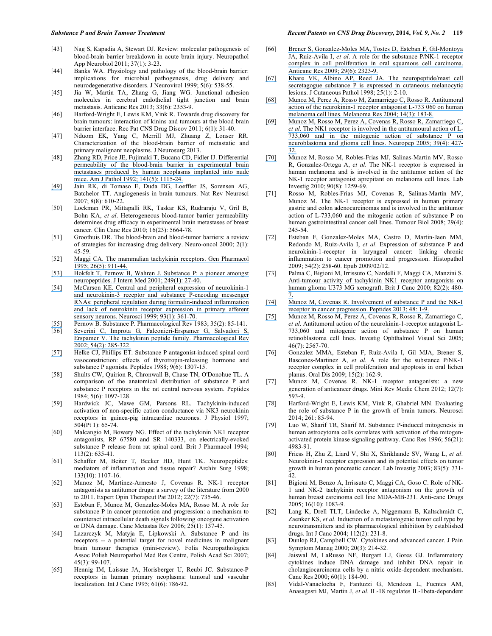- [43] Nag S, Kapadia A, Stewart DJ. Review: molecular pathogenesis of blood-brain barrier breakdown in acute brain injury. Neuropathol App Neurobiol 2011; 37(1): 3-23.
- [44] Banks WA. Physiology and pathology of the blood-brain barrier: implications for microbial pathogenesis, drug delivery and neurodegenerative disorders. J Neurovirol 1999; 5(6): 538-55.
- [45] Jia W, Martin TA, Zhang G, Jiang WG. Junctional adhesion molecules in cerebral endothelial tight junction and brain metastasis. Anticanc Res 2013; 33(6): 2353-9.
- [46] Harford-Wright E, Lewis KM, Vink R. Towards drug discovery for brain tumours: interaction of kinins and tumours at the blood brain barrier interface. Rec Pat CNS Drug Discov 2011; 6(1): 31-40.
- [47] Nduom EK, Yang C, Merrill MJ, Zhuang Z, Lonser RR. Characterization of the blood-brain barrier of metastatic and primary malignant neoplasms. J Neurosurg 2013.
- [48] [Zhang RD, Price JE, Fujimaki T, Bucana CD, Fidler IJ. Differential](https://www.researchgate.net/publication/21712764_Differential_permeability_of_the_blood-brain_barrier_in_experimental_brain_metastases_produced_by_human_neoplasms_implanted_into_nude_mice?el=1_x_8&enrichId=rgreq-b0d70aede874858f301fcc6219be96ac-XXX&enrichSource=Y292ZXJQYWdlOzI2ODIzMDU0ODtBUzoxNzQ0MDYwODA5MzM4ODhAMTQxODU5MzA1ODY0OA==)  [permeability of the blood-brain barrier in experimental brain](https://www.researchgate.net/publication/21712764_Differential_permeability_of_the_blood-brain_barrier_in_experimental_brain_metastases_produced_by_human_neoplasms_implanted_into_nude_mice?el=1_x_8&enrichId=rgreq-b0d70aede874858f301fcc6219be96ac-XXX&enrichSource=Y292ZXJQYWdlOzI2ODIzMDU0ODtBUzoxNzQ0MDYwODA5MzM4ODhAMTQxODU5MzA1ODY0OA==)  [metastases produced by human neoplasms implanted into nude](https://www.researchgate.net/publication/21712764_Differential_permeability_of_the_blood-brain_barrier_in_experimental_brain_metastases_produced_by_human_neoplasms_implanted_into_nude_mice?el=1_x_8&enrichId=rgreq-b0d70aede874858f301fcc6219be96ac-XXX&enrichSource=Y292ZXJQYWdlOzI2ODIzMDU0ODtBUzoxNzQ0MDYwODA5MzM4ODhAMTQxODU5MzA1ODY0OA==)  [mice. Am J Pathol 1992; 141\(5\): 1115-24.](https://www.researchgate.net/publication/21712764_Differential_permeability_of_the_blood-brain_barrier_in_experimental_brain_metastases_produced_by_human_neoplasms_implanted_into_nude_mice?el=1_x_8&enrichId=rgreq-b0d70aede874858f301fcc6219be96ac-XXX&enrichSource=Y292ZXJQYWdlOzI2ODIzMDU0ODtBUzoxNzQ0MDYwODA5MzM4ODhAMTQxODU5MzA1ODY0OA==)
- [\[49\]](https://www.researchgate.net/publication/21712764_Differential_permeability_of_the_blood-brain_barrier_in_experimental_brain_metastases_produced_by_human_neoplasms_implanted_into_nude_mice?el=1_x_8&enrichId=rgreq-b0d70aede874858f301fcc6219be96ac-XXX&enrichSource=Y292ZXJQYWdlOzI2ODIzMDU0ODtBUzoxNzQ0MDYwODA5MzM4ODhAMTQxODU5MzA1ODY0OA==) Jain RK, di Tomaso E, Duda DG, Loeffler JS, Sorensen AG, Batchelor TT. Angiogenesis in brain tumours. Nat Rev Neurosci 2007; 8(8): 610-22.
- [50] Lockman PR, Mittapalli RK, Taskar KS, Rudraraju V, Gril B, Bohn KA, *et al*. Heterogeneous blood-tumor barrier permeability determines drug efficacy in experimental brain metastases of breast cancer. Clin Canc Res 2010; 16(23): 5664-78.
- [51] Groothuis DR. The blood-brain and blood-tumor barriers: a review of strategies for increasing drug delivery. Neuro-oncol 2000; 2(1): 45-59.
- [52] [Maggi CA. The mammalian tachykinin receptors. Gen Pharmacol](https://www.researchgate.net/publication/12161083_Substance_P_A_pioneer_amongst_neuropeptides?el=1_x_8&enrichId=rgreq-b0d70aede874858f301fcc6219be96ac-XXX&enrichSource=Y292ZXJQYWdlOzI2ODIzMDU0ODtBUzoxNzQ0MDYwODA5MzM4ODhAMTQxODU5MzA1ODY0OA==)  [1995; 26\(5\): 911-44.](https://www.researchgate.net/publication/12161083_Substance_P_A_pioneer_amongst_neuropeptides?el=1_x_8&enrichId=rgreq-b0d70aede874858f301fcc6219be96ac-XXX&enrichSource=Y292ZXJQYWdlOzI2ODIzMDU0ODtBUzoxNzQ0MDYwODA5MzM4ODhAMTQxODU5MzA1ODY0OA==)
- [53] [Hokfelt T, Pernow B, Wahren J. Substance P: a pioneer amongst](https://www.researchgate.net/publication/12161083_Substance_P_A_pioneer_amongst_neuropeptides?el=1_x_8&enrichId=rgreq-b0d70aede874858f301fcc6219be96ac-XXX&enrichSource=Y292ZXJQYWdlOzI2ODIzMDU0ODtBUzoxNzQ0MDYwODA5MzM4ODhAMTQxODU5MzA1ODY0OA==)  [neuropeptides. J Intern Med 2001; 249\(1\): 27-40.](https://www.researchgate.net/publication/12161083_Substance_P_A_pioneer_amongst_neuropeptides?el=1_x_8&enrichId=rgreq-b0d70aede874858f301fcc6219be96ac-XXX&enrichSource=Y292ZXJQYWdlOzI2ODIzMDU0ODtBUzoxNzQ0MDYwODA5MzM4ODhAMTQxODU5MzA1ODY0OA==)
- [\[54\]](https://www.researchgate.net/publication/12161083_Substance_P_A_pioneer_amongst_neuropeptides?el=1_x_8&enrichId=rgreq-b0d70aede874858f301fcc6219be96ac-XXX&enrichSource=Y292ZXJQYWdlOzI2ODIzMDU0ODtBUzoxNzQ0MDYwODA5MzM4ODhAMTQxODU5MzA1ODY0OA==) [McCarson KE. Central and peripheral expression of neurokinin-1](https://www.researchgate.net/publication/12868262_Central_and_peripheral_expression_of_neurokinin-1_and_neurokinin-3_receptor_and_substance_P-encoding_messenger_RNAs_Peripheral_regulation_during_formalin-induced_inflammation_and_lack_of_neurokinin_re?el=1_x_8&enrichId=rgreq-b0d70aede874858f301fcc6219be96ac-XXX&enrichSource=Y292ZXJQYWdlOzI2ODIzMDU0ODtBUzoxNzQ0MDYwODA5MzM4ODhAMTQxODU5MzA1ODY0OA==)  [and neurokinin-3 receptor and substance P-encoding messenger](https://www.researchgate.net/publication/12868262_Central_and_peripheral_expression_of_neurokinin-1_and_neurokinin-3_receptor_and_substance_P-encoding_messenger_RNAs_Peripheral_regulation_during_formalin-induced_inflammation_and_lack_of_neurokinin_re?el=1_x_8&enrichId=rgreq-b0d70aede874858f301fcc6219be96ac-XXX&enrichSource=Y292ZXJQYWdlOzI2ODIzMDU0ODtBUzoxNzQ0MDYwODA5MzM4ODhAMTQxODU5MzA1ODY0OA==)  [RNAs: peripheral regulation during formalin-induced inflammation](https://www.researchgate.net/publication/12868262_Central_and_peripheral_expression_of_neurokinin-1_and_neurokinin-3_receptor_and_substance_P-encoding_messenger_RNAs_Peripheral_regulation_during_formalin-induced_inflammation_and_lack_of_neurokinin_re?el=1_x_8&enrichId=rgreq-b0d70aede874858f301fcc6219be96ac-XXX&enrichSource=Y292ZXJQYWdlOzI2ODIzMDU0ODtBUzoxNzQ0MDYwODA5MzM4ODhAMTQxODU5MzA1ODY0OA==)  [and lack of neurokinin receptor expression in primary afferent](https://www.researchgate.net/publication/12868262_Central_and_peripheral_expression_of_neurokinin-1_and_neurokinin-3_receptor_and_substance_P-encoding_messenger_RNAs_Peripheral_regulation_during_formalin-induced_inflammation_and_lack_of_neurokinin_re?el=1_x_8&enrichId=rgreq-b0d70aede874858f301fcc6219be96ac-XXX&enrichSource=Y292ZXJQYWdlOzI2ODIzMDU0ODtBUzoxNzQ0MDYwODA5MzM4ODhAMTQxODU5MzA1ODY0OA==)  [sensory neurons. Neurosci 1999; 93\(1\): 361-70.](https://www.researchgate.net/publication/12868262_Central_and_peripheral_expression_of_neurokinin-1_and_neurokinin-3_receptor_and_substance_P-encoding_messenger_RNAs_Peripheral_regulation_during_formalin-induced_inflammation_and_lack_of_neurokinin_re?el=1_x_8&enrichId=rgreq-b0d70aede874858f301fcc6219be96ac-XXX&enrichSource=Y292ZXJQYWdlOzI2ODIzMDU0ODtBUzoxNzQ0MDYwODA5MzM4ODhAMTQxODU5MzA1ODY0OA==)
- [\[55\]](https://www.researchgate.net/publication/12868262_Central_and_peripheral_expression_of_neurokinin-1_and_neurokinin-3_receptor_and_substance_P-encoding_messenger_RNAs_Peripheral_regulation_during_formalin-induced_inflammation_and_lack_of_neurokinin_re?el=1_x_8&enrichId=rgreq-b0d70aede874858f301fcc6219be96ac-XXX&enrichSource=Y292ZXJQYWdlOzI2ODIzMDU0ODtBUzoxNzQ0MDYwODA5MzM4ODhAMTQxODU5MzA1ODY0OA==) Pernow B. Substance P. Pharmacological Rev 1983; 35(2): 85-141.
- [56] [Severini C, Improta G, Falconieri-Erspamer G, Salvadori S,](https://www.researchgate.net/publication/11335801_The_tachykinin_peptide_family_Pharmacol_Rev?el=1_x_8&enrichId=rgreq-b0d70aede874858f301fcc6219be96ac-XXX&enrichSource=Y292ZXJQYWdlOzI2ODIzMDU0ODtBUzoxNzQ0MDYwODA5MzM4ODhAMTQxODU5MzA1ODY0OA==)  [Erspamer V. The tachykinin peptide family. Pharmacological Rev](https://www.researchgate.net/publication/11335801_The_tachykinin_peptide_family_Pharmacol_Rev?el=1_x_8&enrichId=rgreq-b0d70aede874858f301fcc6219be96ac-XXX&enrichSource=Y292ZXJQYWdlOzI2ODIzMDU0ODtBUzoxNzQ0MDYwODA5MzM4ODhAMTQxODU5MzA1ODY0OA==)  [2002; 54\(2\): 285-322.](https://www.researchgate.net/publication/11335801_The_tachykinin_peptide_family_Pharmacol_Rev?el=1_x_8&enrichId=rgreq-b0d70aede874858f301fcc6219be96ac-XXX&enrichSource=Y292ZXJQYWdlOzI2ODIzMDU0ODtBUzoxNzQ0MDYwODA5MzM4ODhAMTQxODU5MzA1ODY0OA==)
- [\[57\]](https://www.researchgate.net/publication/11335801_The_tachykinin_peptide_family_Pharmacol_Rev?el=1_x_8&enrichId=rgreq-b0d70aede874858f301fcc6219be96ac-XXX&enrichSource=Y292ZXJQYWdlOzI2ODIzMDU0ODtBUzoxNzQ0MDYwODA5MzM4ODhAMTQxODU5MzA1ODY0OA==) Helke CJ, Phillips ET. Substance P antagonist-induced spinal cord vasoconstriction: effects of thyrotropin-releasing hormone and substance P agonists. Peptides 1988; 9(6): 1307-15.
- [58] Shults CW, Quirion R, Chronwall B, Chase TN, O'Donohue TL. A comparison of the anatomical distribution of substance P and substance P receptors in the rat central nervous system. Peptides 1984; 5(6): 1097-128.
- [59] Hardwick JC, Mawe GM, Parsons RL. Tachykinin-induced activation of non-specific cation conductance via NK3 neurokinin receptors in guinea-pig intracardiac neurones. J Physiol 1997; 504(Pt 1): 65-74.
- [60] Malcangio M, Bowery NG. Effect of the tachykinin NK1 receptor antagonists, RP 67580 and SR 140333, on electrically-evoked substance P release from rat spinal cord. Brit J Pharmacol 1994; 113(2): 635-41.
- [61] Schaffer M, Beiter T, Becker HD, Hunt TK. Neuropeptides: mediators of inflammation and tissue repair? Archiv Surg 1998; 133(10): 1107-16.
- [62] Munoz M, Martinez-Armesto J, Covenas R. NK-1 receptor antagonists as antitumor drugs: a survey of the literature from 2000 to 2011. Expert Opin Therapeut Pat 2012; 22(7): 735-46.
- [63] Esteban F, Munoz M, Gonzalez-Moles MA, Rosso M. A role for substance P in cancer promotion and progression: a mechanism to counteract intracellular death signals following oncogene activation or DNA damage. Canc Metastas Rev 2006; 25(1): 137-45.
- [64] Lazarczyk M, Matyja E, Lipkowski A. Substance P and its receptors -- a potential target for novel medicines in malignant brain tumour therapies (mini-review). Folia Neuropathologica Assoc Polish Neuropathol Med Res Centre, Polish Acad Sci 2007; 45(3): 99-107.
- [65] Hennig IM, Laissue JA, Horisberger U, Reubi JC. Substance-P receptors in human primary neoplasms: tumoral and vascular localization. Int J Canc 1995; 61(6): 786-92.
- [66] [Brener S, Gonzalez-Moles MA, Tostes D, Esteban F, Gil-Montoya](https://www.researchgate.net/publication/26294013_A_role_for_the_substance_PNK-1_receptor_complex_in_cell_proliferation_in_oral_squamous_cell_carcinoma?el=1_x_8&enrichId=rgreq-b0d70aede874858f301fcc6219be96ac-XXX&enrichSource=Y292ZXJQYWdlOzI2ODIzMDU0ODtBUzoxNzQ0MDYwODA5MzM4ODhAMTQxODU5MzA1ODY0OA==) JA, Ruiz-Avila I, *et al*[. A role for the substance P/NK-1 receptor](https://www.researchgate.net/publication/26294013_A_role_for_the_substance_PNK-1_receptor_complex_in_cell_proliferation_in_oral_squamous_cell_carcinoma?el=1_x_8&enrichId=rgreq-b0d70aede874858f301fcc6219be96ac-XXX&enrichSource=Y292ZXJQYWdlOzI2ODIzMDU0ODtBUzoxNzQ0MDYwODA5MzM4ODhAMTQxODU5MzA1ODY0OA==) [complex in cell proliferation in oral squamous cell carcinoma.](https://www.researchgate.net/publication/26294013_A_role_for_the_substance_PNK-1_receptor_complex_in_cell_proliferation_in_oral_squamous_cell_carcinoma?el=1_x_8&enrichId=rgreq-b0d70aede874858f301fcc6219be96ac-XXX&enrichSource=Y292ZXJQYWdlOzI2ODIzMDU0ODtBUzoxNzQ0MDYwODA5MzM4ODhAMTQxODU5MzA1ODY0OA==)  [Anticanc Res 2009; 29\(6\): 2323-9.](https://www.researchgate.net/publication/26294013_A_role_for_the_substance_PNK-1_receptor_complex_in_cell_proliferation_in_oral_squamous_cell_carcinoma?el=1_x_8&enrichId=rgreq-b0d70aede874858f301fcc6219be96ac-XXX&enrichSource=Y292ZXJQYWdlOzI2ODIzMDU0ODtBUzoxNzQ0MDYwODA5MzM4ODhAMTQxODU5MzA1ODY0OA==)
- [\[67\]](https://www.researchgate.net/publication/26294013_A_role_for_the_substance_PNK-1_receptor_complex_in_cell_proliferation_in_oral_squamous_cell_carcinoma?el=1_x_8&enrichId=rgreq-b0d70aede874858f301fcc6219be96ac-XXX&enrichSource=Y292ZXJQYWdlOzI2ODIzMDU0ODtBUzoxNzQ0MDYwODA5MzM4ODhAMTQxODU5MzA1ODY0OA==) [Khare VK, Albino AP, Reed JA. The neuropeptide/mast cell](https://www.researchgate.net/publication/51305734_The_neuropeptidemast_cell_secretagogue_substance_P_is_expressed_in_cutaneous_melanocytic_lesions?el=1_x_8&enrichId=rgreq-b0d70aede874858f301fcc6219be96ac-XXX&enrichSource=Y292ZXJQYWdlOzI2ODIzMDU0ODtBUzoxNzQ0MDYwODA5MzM4ODhAMTQxODU5MzA1ODY0OA==)  [secretagogue substance P is expressed in cutaneous melanocytic](https://www.researchgate.net/publication/51305734_The_neuropeptidemast_cell_secretagogue_substance_P_is_expressed_in_cutaneous_melanocytic_lesions?el=1_x_8&enrichId=rgreq-b0d70aede874858f301fcc6219be96ac-XXX&enrichSource=Y292ZXJQYWdlOzI2ODIzMDU0ODtBUzoxNzQ0MDYwODA5MzM4ODhAMTQxODU5MzA1ODY0OA==)  [lesions. J Cutaneous Pathol 1998; 25\(1\): 2-10.](https://www.researchgate.net/publication/51305734_The_neuropeptidemast_cell_secretagogue_substance_P_is_expressed_in_cutaneous_melanocytic_lesions?el=1_x_8&enrichId=rgreq-b0d70aede874858f301fcc6219be96ac-XXX&enrichSource=Y292ZXJQYWdlOzI2ODIzMDU0ODtBUzoxNzQ0MDYwODA5MzM4ODhAMTQxODU5MzA1ODY0OA==)
- [\[68\]](https://www.researchgate.net/publication/51305734_The_neuropeptidemast_cell_secretagogue_substance_P_is_expressed_in_cutaneous_melanocytic_lesions?el=1_x_8&enrichId=rgreq-b0d70aede874858f301fcc6219be96ac-XXX&enrichSource=Y292ZXJQYWdlOzI2ODIzMDU0ODtBUzoxNzQ0MDYwODA5MzM4ODhAMTQxODU5MzA1ODY0OA==) [Munoz M, Perez A, Rosso M, Zamarriego C, Rosso R. Antitumoral](https://www.researchgate.net/publication/8528064_Antitumoral_action_of_the_neurokinin-1_receptor_antagonist_L-733060_on_human_melanoma_cell_lines?el=1_x_8&enrichId=rgreq-b0d70aede874858f301fcc6219be96ac-XXX&enrichSource=Y292ZXJQYWdlOzI2ODIzMDU0ODtBUzoxNzQ0MDYwODA5MzM4ODhAMTQxODU5MzA1ODY0OA==)  [action of the neurokinin-1 receptor antagonist L-733 060 on human](https://www.researchgate.net/publication/8528064_Antitumoral_action_of_the_neurokinin-1_receptor_antagonist_L-733060_on_human_melanoma_cell_lines?el=1_x_8&enrichId=rgreq-b0d70aede874858f301fcc6219be96ac-XXX&enrichSource=Y292ZXJQYWdlOzI2ODIzMDU0ODtBUzoxNzQ0MDYwODA5MzM4ODhAMTQxODU5MzA1ODY0OA==)  [melanoma cell lines. Melanoma Res 2004; 14\(3\): 183-8.](https://www.researchgate.net/publication/8528064_Antitumoral_action_of_the_neurokinin-1_receptor_antagonist_L-733060_on_human_melanoma_cell_lines?el=1_x_8&enrichId=rgreq-b0d70aede874858f301fcc6219be96ac-XXX&enrichSource=Y292ZXJQYWdlOzI2ODIzMDU0ODtBUzoxNzQ0MDYwODA5MzM4ODhAMTQxODU5MzA1ODY0OA==)
- [\[69\]](https://www.researchgate.net/publication/8528064_Antitumoral_action_of_the_neurokinin-1_receptor_antagonist_L-733060_on_human_melanoma_cell_lines?el=1_x_8&enrichId=rgreq-b0d70aede874858f301fcc6219be96ac-XXX&enrichSource=Y292ZXJQYWdlOzI2ODIzMDU0ODtBUzoxNzQ0MDYwODA5MzM4ODhAMTQxODU5MzA1ODY0OA==) [Munoz M, Rosso M, Perez A, Covenas R, Rosso R, Zamarriego C,](https://www.researchgate.net/publication/7803780_The_NK1_receptor_is_involved_in_the_antitumoural_action_of_L-733060_and_in_the_mitogenic_action_of_substance_P_on_neuroblastoma_and_glioma_cell_lines?el=1_x_8&enrichId=rgreq-b0d70aede874858f301fcc6219be96ac-XXX&enrichSource=Y292ZXJQYWdlOzI2ODIzMDU0ODtBUzoxNzQ0MDYwODA5MzM4ODhAMTQxODU5MzA1ODY0OA==) *et al*[. The NK1 receptor is involved in the antitumoural action of L-](https://www.researchgate.net/publication/7803780_The_NK1_receptor_is_involved_in_the_antitumoural_action_of_L-733060_and_in_the_mitogenic_action_of_substance_P_on_neuroblastoma_and_glioma_cell_lines?el=1_x_8&enrichId=rgreq-b0d70aede874858f301fcc6219be96ac-XXX&enrichSource=Y292ZXJQYWdlOzI2ODIzMDU0ODtBUzoxNzQ0MDYwODA5MzM4ODhAMTQxODU5MzA1ODY0OA==)[733,060 and in the mitogenic action of substance P on](https://www.researchgate.net/publication/7803780_The_NK1_receptor_is_involved_in_the_antitumoural_action_of_L-733060_and_in_the_mitogenic_action_of_substance_P_on_neuroblastoma_and_glioma_cell_lines?el=1_x_8&enrichId=rgreq-b0d70aede874858f301fcc6219be96ac-XXX&enrichSource=Y292ZXJQYWdlOzI2ODIzMDU0ODtBUzoxNzQ0MDYwODA5MzM4ODhAMTQxODU5MzA1ODY0OA==)  [neuroblastoma and glioma cell lines. Neuropep 2005; 39\(4\): 427-](https://www.researchgate.net/publication/7803780_The_NK1_receptor_is_involved_in_the_antitumoural_action_of_L-733060_and_in_the_mitogenic_action_of_substance_P_on_neuroblastoma_and_glioma_cell_lines?el=1_x_8&enrichId=rgreq-b0d70aede874858f301fcc6219be96ac-XXX&enrichSource=Y292ZXJQYWdlOzI2ODIzMDU0ODtBUzoxNzQ0MDYwODA5MzM4ODhAMTQxODU5MzA1ODY0OA==) [32.](https://www.researchgate.net/publication/7803780_The_NK1_receptor_is_involved_in_the_antitumoural_action_of_L-733060_and_in_the_mitogenic_action_of_substance_P_on_neuroblastoma_and_glioma_cell_lines?el=1_x_8&enrichId=rgreq-b0d70aede874858f301fcc6219be96ac-XXX&enrichSource=Y292ZXJQYWdlOzI2ODIzMDU0ODtBUzoxNzQ0MDYwODA5MzM4ODhAMTQxODU5MzA1ODY0OA==)
- [\[70\]](https://www.researchgate.net/publication/7803780_The_NK1_receptor_is_involved_in_the_antitumoural_action_of_L-733060_and_in_the_mitogenic_action_of_substance_P_on_neuroblastoma_and_glioma_cell_lines?el=1_x_8&enrichId=rgreq-b0d70aede874858f301fcc6219be96ac-XXX&enrichSource=Y292ZXJQYWdlOzI2ODIzMDU0ODtBUzoxNzQ0MDYwODA5MzM4ODhAMTQxODU5MzA1ODY0OA==) Munoz M, Rosso M, Robles-Frias MJ, Salinas-Martin MV, Rosso R, Gonzalez-Ortega A, *et al*. The NK-1 receptor is expressed in human melanoma and is involved in the antitumor action of the NK-1 receptor antagonist aprepitant on melanoma cell lines. Lab Investig 2010; 90(8): 1259-69.
- [71] Rosso M, Robles-Frias MJ, Covenas R, Salinas-Martin MV, Munoz M. The NK-1 receptor is expressed in human primary gastric and colon adenocarcinomas and is involved in the antitumor action of L-733,060 and the mitogenic action of substance P on human gastrointestinal cancer cell lines. Tumour Biol 2008; 29(4): 245-54.
- [72] Esteban F, Gonzalez-Moles MA, Castro D, Martin-Jaen MM, Redondo M, Ruiz-Avila I, *et al*. Expression of substance P and neurokinin-1-receptor in laryngeal cancer: linking chronic inflammation to cancer promotion and progression. Histopathol 2009; 54(2): 258-60. Epub 2009/02/12.
- [73] Palma C, Bigioni M, Irrissuto C, Nardelli F, Maggi CA, Manzini S. [Anti-tumour activity of tachykinin NK1 receptor antagonists on](https://www.researchgate.net/publication/12667474_Anti-tumour_activity_of_tachykinin_NK1receptor_antagonists_on_human_glioma_U373_MG_xenograft?el=1_x_8&enrichId=rgreq-b0d70aede874858f301fcc6219be96ac-XXX&enrichSource=Y292ZXJQYWdlOzI2ODIzMDU0ODtBUzoxNzQ0MDYwODA5MzM4ODhAMTQxODU5MzA1ODY0OA==)  [human glioma U373 MG xenograft. Brit J Canc 2000; 82\(2\): 480-](https://www.researchgate.net/publication/12667474_Anti-tumour_activity_of_tachykinin_NK1receptor_antagonists_on_human_glioma_U373_MG_xenograft?el=1_x_8&enrichId=rgreq-b0d70aede874858f301fcc6219be96ac-XXX&enrichSource=Y292ZXJQYWdlOzI2ODIzMDU0ODtBUzoxNzQ0MDYwODA5MzM4ODhAMTQxODU5MzA1ODY0OA==) [7.](https://www.researchgate.net/publication/12667474_Anti-tumour_activity_of_tachykinin_NK1receptor_antagonists_on_human_glioma_U373_MG_xenograft?el=1_x_8&enrichId=rgreq-b0d70aede874858f301fcc6219be96ac-XXX&enrichSource=Y292ZXJQYWdlOzI2ODIzMDU0ODtBUzoxNzQ0MDYwODA5MzM4ODhAMTQxODU5MzA1ODY0OA==)
- [\[74\]](https://www.researchgate.net/publication/12667474_Anti-tumour_activity_of_tachykinin_NK1receptor_antagonists_on_human_glioma_U373_MG_xenograft?el=1_x_8&enrichId=rgreq-b0d70aede874858f301fcc6219be96ac-XXX&enrichSource=Y292ZXJQYWdlOzI2ODIzMDU0ODtBUzoxNzQ0MDYwODA5MzM4ODhAMTQxODU5MzA1ODY0OA==) [Munoz M, Covenas R. Involvement of substance P and the NK-1](https://www.researchgate.net/publication/255734640_Involvement_of_substance_P_and_the_NK-1_receptor_in_cancer_progression?el=1_x_8&enrichId=rgreq-b0d70aede874858f301fcc6219be96ac-XXX&enrichSource=Y292ZXJQYWdlOzI2ODIzMDU0ODtBUzoxNzQ0MDYwODA5MzM4ODhAMTQxODU5MzA1ODY0OA==)  [receptor in cancer progression. Peptides 2013; 48: 1-9.](https://www.researchgate.net/publication/255734640_Involvement_of_substance_P_and_the_NK-1_receptor_in_cancer_progression?el=1_x_8&enrichId=rgreq-b0d70aede874858f301fcc6219be96ac-XXX&enrichSource=Y292ZXJQYWdlOzI2ODIzMDU0ODtBUzoxNzQ0MDYwODA5MzM4ODhAMTQxODU5MzA1ODY0OA==)
- [\[75\]](https://www.researchgate.net/publication/255734640_Involvement_of_substance_P_and_the_NK-1_receptor_in_cancer_progression?el=1_x_8&enrichId=rgreq-b0d70aede874858f301fcc6219be96ac-XXX&enrichSource=Y292ZXJQYWdlOzI2ODIzMDU0ODtBUzoxNzQ0MDYwODA5MzM4ODhAMTQxODU5MzA1ODY0OA==) Munoz M, Rosso M, Perez A, Covenas R, Rosso R, Zamarriego C, *et al*. Antitumoral action of the neurokinin-1-receptor antagonist L-733,060 and mitogenic action of substance P on human retinoblastoma cell lines. Investig Ophthalmol Visual Sci 2005; 46(7): 2567-70.
- [76] Gonzalez MMA, Esteban F, Ruiz-Avila I, Gil MJA, Brener S, Bascones-Martinez A, *et al*. A role for the substance P/NK-1 receptor complex in cell proliferation and apoptosis in oral lichen planus. Oral Dis 2009; 15(2): 162-9.
- [77] Munoz M, Covenas R. NK-1 receptor antagonists: a new generation of anticancer drugs. Mini Rev Medic Chem 2012; 12(7): 593-9.
- [78] Harford-Wright E, Lewis KM, Vink R, Ghabriel MN. Evaluating the role of substance P in the growth of brain tumors. Neurosci 2014; 261: 85-94.
- [79] Luo W, Sharif TR, Sharif M. Substance P-induced mitogenesis in human astrocytoma cells correlates with activation of the mitogenactivated protein kinase signaling pathway. Canc Res 1996; 56(21): 4983-91.
- [80] Friess H, Zhu Z, Liard V, Shi X, Shrikhande SV, Wang L, *et al*. Neurokinin-1 receptor expression and its potential effects on tumor growth in human pancreatic cancer. Lab Investig 2003; 83(5): 731- 42.
- [81] Bigioni M, Benzo A, Irrissuto C, Maggi CA, Goso C. Role of NK-1 and NK-2 tachykinin receptor antagonism on the growth of human breast carcinoma cell line MDA-MB-231. Anti-canc Drugs 2005; 16(10): 1083-9.
- [82] Lang K, Drell TLT, Lindecke A, Niggemann B, Kaltschmidt C, Zaenker KS, *et al*. Induction of a metastatogenic tumor cell type by neurotransmitters and its pharmacological inhibition by established drugs. Int J Canc 2004; 112(2): 231-8.
- [83] Dunlop RJ, Campbell CW. Cytokines and advanced cancer. J Pain Symptom Manag 2000; 20(3): 214-32.
- [84] Jaiswal M, LaRusso NF, Burgart LJ, Gores GJ. Inflammatory cytokines induce DNA damage and inhibit DNA repair in cholangiocarcinoma cells by a nitric oxide-dependent mechanism. Canc Res 2000; 60(1): 184-90.
- [85] Vidal-Vanaclocha F, Fantuzzi G, Mendoza L, Fuentes AM, Anasagasti MJ, Martin J, *et al*. IL-18 regulates IL-1beta-dependent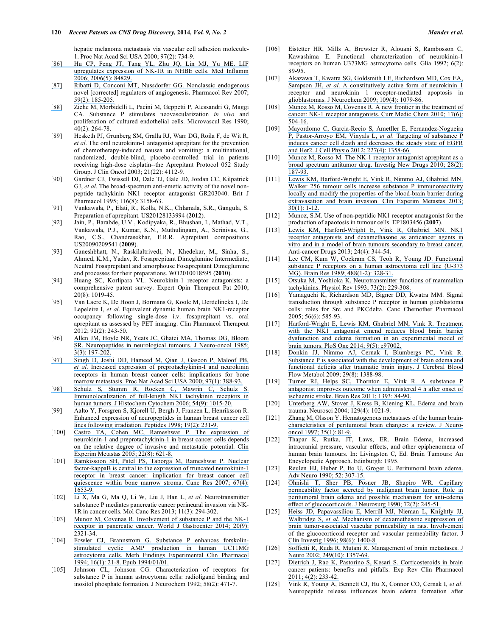hepatic melanoma metastasis via vascular cell adhesion molecule-1. [Proc Nat Acad Sci USA 2000; 97\(2\): 734-9.](https://www.researchgate.net/publication/6416786_LIF_upregulates_expression_of_NK-1R_in_NHBE_cells?el=1_x_8&enrichId=rgreq-b0d70aede874858f301fcc6219be96ac-XXX&enrichSource=Y292ZXJQYWdlOzI2ODIzMDU0ODtBUzoxNzQ0MDYwODA5MzM4ODhAMTQxODU5MzA1ODY0OA==)

- [86] [Hu CP, Feng JT, Tang YL, Zhu JQ, Lin MJ, Yu ME. LIF](https://www.researchgate.net/publication/6416786_LIF_upregulates_expression_of_NK-1R_in_NHBE_cells?el=1_x_8&enrichId=rgreq-b0d70aede874858f301fcc6219be96ac-XXX&enrichSource=Y292ZXJQYWdlOzI2ODIzMDU0ODtBUzoxNzQ0MDYwODA5MzM4ODhAMTQxODU5MzA1ODY0OA==)  [upregulates expression of NK-1R in NHBE cells. Med Inflamm](https://www.researchgate.net/publication/6416786_LIF_upregulates_expression_of_NK-1R_in_NHBE_cells?el=1_x_8&enrichId=rgreq-b0d70aede874858f301fcc6219be96ac-XXX&enrichSource=Y292ZXJQYWdlOzI2ODIzMDU0ODtBUzoxNzQ0MDYwODA5MzM4ODhAMTQxODU5MzA1ODY0OA==) [2006; 2006\(5\): 84829.](https://www.researchgate.net/publication/6416786_LIF_upregulates_expression_of_NK-1R_in_NHBE_cells?el=1_x_8&enrichId=rgreq-b0d70aede874858f301fcc6219be96ac-XXX&enrichSource=Y292ZXJQYWdlOzI2ODIzMDU0ODtBUzoxNzQ0MDYwODA5MzM4ODhAMTQxODU5MzA1ODY0OA==)
- [\[87\]](https://www.researchgate.net/publication/6416786_LIF_upregulates_expression_of_NK-1R_in_NHBE_cells?el=1_x_8&enrichId=rgreq-b0d70aede874858f301fcc6219be96ac-XXX&enrichSource=Y292ZXJQYWdlOzI2ODIzMDU0ODtBUzoxNzQ0MDYwODA5MzM4ODhAMTQxODU5MzA1ODY0OA==) [Ribatti D, Conconi MT, Nussdorfer GG. Nonclassic endogenous](https://www.researchgate.net/publication/6295254_Nonclassic_Endogenous_Novel_Regulators_of_Angiogenesis?el=1_x_8&enrichId=rgreq-b0d70aede874858f301fcc6219be96ac-XXX&enrichSource=Y292ZXJQYWdlOzI2ODIzMDU0ODtBUzoxNzQ0MDYwODA5MzM4ODhAMTQxODU5MzA1ODY0OA==)  [novel \[corrected\] regulators of angiogenesis. Pharmacol Rev 2007;](https://www.researchgate.net/publication/6295254_Nonclassic_Endogenous_Novel_Regulators_of_Angiogenesis?el=1_x_8&enrichId=rgreq-b0d70aede874858f301fcc6219be96ac-XXX&enrichSource=Y292ZXJQYWdlOzI2ODIzMDU0ODtBUzoxNzQ0MDYwODA5MzM4ODhAMTQxODU5MzA1ODY0OA==)  [59\(2\): 185-205.](https://www.researchgate.net/publication/6295254_Nonclassic_Endogenous_Novel_Regulators_of_Angiogenesis?el=1_x_8&enrichId=rgreq-b0d70aede874858f301fcc6219be96ac-XXX&enrichSource=Y292ZXJQYWdlOzI2ODIzMDU0ODtBUzoxNzQ0MDYwODA5MzM4ODhAMTQxODU5MzA1ODY0OA==)
- [\[88\]](https://www.researchgate.net/publication/6295254_Nonclassic_Endogenous_Novel_Regulators_of_Angiogenesis?el=1_x_8&enrichId=rgreq-b0d70aede874858f301fcc6219be96ac-XXX&enrichSource=Y292ZXJQYWdlOzI2ODIzMDU0ODtBUzoxNzQ0MDYwODA5MzM4ODhAMTQxODU5MzA1ODY0OA==) Ziche M, Morbidelli L, Pacini M, Geppetti P, Alessandri G, Maggi CA. Substance P stimulates neovascularization *in vivo* and proliferation of cultured endothelial cells. Microvascul Res 1990; 40(2): 264-78.
- [89] Hesketh PJ, Grunberg SM, Gralla RJ, Warr DG, Roila F, de Wit R, *et al*. The oral neurokinin-1 antagonist aprepitant for the prevention of chemotherapy-induced nausea and vomiting: a multinational, randomized, double-blind, placebo-controlled trial in patients receiving high-dose cisplatin--the Aprepitant Protocol 052 Study Group. J Clin Oncol 2003; 21(22): 4112-9.
- [90] Gardner CJ, Twissell DJ, Dale TJ, Gale JD, Jordan CC, Kilpatrick GJ, *et al*. The broad-spectrum anti-emetic activity of the novel nonpeptide tachykinin NK1 receptor antagonist GR203040. Brit J Pharmacol 1995; 116(8): 3158-63.
- [91] Vankawala, P., Elati, R., Kolla, N.K., Chlamala, S.R., Gangula, S. Preparation of aprepitant. US20128133994 (**2012**).
- [92] Jain, P., Barabde, U.V., Kodipyaka, R., Bhushan, I., Mathad, V.T., Vankawala, P.J., Kumar, K.N., Muthulingam, A., Scrinivas, G., Rao, C.S., Chandrasekhar, E.R.R. Aprepitant compositions US20090209541 (**2009**).
- [93] Ganeshbhatt, N., Raskilaltrivedi, N., Khedekar, M., Sinha, S., Ahmed, K.M., Yadav, R. Fosaprepitant Dimeglumine Intermediate, Neutral Fosaprepitant and amorphouse Fosaprepitant Dimeglumine and processes for their preparations. WO2010018595 (**2010**).
- [94] Huang SC, Korlipara VL. Neurokinin-1 receptor antagonists: a comprehensive patent survey. Expert Opin Therapeut Pat 2010;  $20(8)$ : 1019-45.
- [95] Van Laere K, De Hoon J, Bormans G, Koole M, Derdelinckx I, De Lepeleire I, *et al*. Equivalent dynamic human brain NK1-receptor occupancy following single-dose i.v. fosaprepitant vs. oral aprepitant as assessed by PET imaging. Clin Pharmacol Therapeut 2012; 92(2): 243-50.
- [96] [Allen JM, Hoyle NR, Yeats JC, Ghatei MA, Thomas DG, Bloom](https://www.researchgate.net/publication/51363950_Increased_expression_of_preprotachykinin-I_and_neurokinin_receptors_in_human_breast_cancer_cells_implications_for_bone_marrow_metastasis?el=1_x_8&enrichId=rgreq-b0d70aede874858f301fcc6219be96ac-XXX&enrichSource=Y292ZXJQYWdlOzI2ODIzMDU0ODtBUzoxNzQ0MDYwODA5MzM4ODhAMTQxODU5MzA1ODY0OA==)  [SR. Neuropeptides in neurological tumours. J Neuro-oncol 1985;](https://www.researchgate.net/publication/51363950_Increased_expression_of_preprotachykinin-I_and_neurokinin_receptors_in_human_breast_cancer_cells_implications_for_bone_marrow_metastasis?el=1_x_8&enrichId=rgreq-b0d70aede874858f301fcc6219be96ac-XXX&enrichSource=Y292ZXJQYWdlOzI2ODIzMDU0ODtBUzoxNzQ0MDYwODA5MzM4ODhAMTQxODU5MzA1ODY0OA==)  [3\(3\): 197-202.](https://www.researchgate.net/publication/51363950_Increased_expression_of_preprotachykinin-I_and_neurokinin_receptors_in_human_breast_cancer_cells_implications_for_bone_marrow_metastasis?el=1_x_8&enrichId=rgreq-b0d70aede874858f301fcc6219be96ac-XXX&enrichSource=Y292ZXJQYWdlOzI2ODIzMDU0ODtBUzoxNzQ0MDYwODA5MzM4ODhAMTQxODU5MzA1ODY0OA==)
- [97] [Singh D, Joshi DD, Hameed M, Qian J, Gascon P, Maloof PB,](https://www.researchgate.net/publication/51363950_Increased_expression_of_preprotachykinin-I_and_neurokinin_receptors_in_human_breast_cancer_cells_implications_for_bone_marrow_metastasis?el=1_x_8&enrichId=rgreq-b0d70aede874858f301fcc6219be96ac-XXX&enrichSource=Y292ZXJQYWdlOzI2ODIzMDU0ODtBUzoxNzQ0MDYwODA5MzM4ODhAMTQxODU5MzA1ODY0OA==) *et al*[. Increased expression of preprotachykinin-I and neurokinin](https://www.researchgate.net/publication/51363950_Increased_expression_of_preprotachykinin-I_and_neurokinin_receptors_in_human_breast_cancer_cells_implications_for_bone_marrow_metastasis?el=1_x_8&enrichId=rgreq-b0d70aede874858f301fcc6219be96ac-XXX&enrichSource=Y292ZXJQYWdlOzI2ODIzMDU0ODtBUzoxNzQ0MDYwODA5MzM4ODhAMTQxODU5MzA1ODY0OA==)  [receptors in human breast cancer cells: implications for bone](https://www.researchgate.net/publication/51363950_Increased_expression_of_preprotachykinin-I_and_neurokinin_receptors_in_human_breast_cancer_cells_implications_for_bone_marrow_metastasis?el=1_x_8&enrichId=rgreq-b0d70aede874858f301fcc6219be96ac-XXX&enrichSource=Y292ZXJQYWdlOzI2ODIzMDU0ODtBUzoxNzQ0MDYwODA5MzM4ODhAMTQxODU5MzA1ODY0OA==)  [marrow metastasis. Proc Nat Acad Sci USA 2000; 97\(1\): 388-93.](https://www.researchgate.net/publication/51363950_Increased_expression_of_preprotachykinin-I_and_neurokinin_receptors_in_human_breast_cancer_cells_implications_for_bone_marrow_metastasis?el=1_x_8&enrichId=rgreq-b0d70aede874858f301fcc6219be96ac-XXX&enrichSource=Y292ZXJQYWdlOzI2ODIzMDU0ODtBUzoxNzQ0MDYwODA5MzM4ODhAMTQxODU5MzA1ODY0OA==)
- [98] [Schulz S, Stumm R, Rocken C, Mawrin C, Schulz S.](https://www.researchgate.net/publication/51363950_Increased_expression_of_preprotachykinin-I_and_neurokinin_receptors_in_human_breast_cancer_cells_implications_for_bone_marrow_metastasis?el=1_x_8&enrichId=rgreq-b0d70aede874858f301fcc6219be96ac-XXX&enrichSource=Y292ZXJQYWdlOzI2ODIzMDU0ODtBUzoxNzQ0MDYwODA5MzM4ODhAMTQxODU5MzA1ODY0OA==)  [Immunolocalization of full-length NK1 tachykinin receptors in](https://www.researchgate.net/publication/51363950_Increased_expression_of_preprotachykinin-I_and_neurokinin_receptors_in_human_breast_cancer_cells_implications_for_bone_marrow_metastasis?el=1_x_8&enrichId=rgreq-b0d70aede874858f301fcc6219be96ac-XXX&enrichSource=Y292ZXJQYWdlOzI2ODIzMDU0ODtBUzoxNzQ0MDYwODA5MzM4ODhAMTQxODU5MzA1ODY0OA==)  [human tumors. J Histochem Cytochem 2006; 54\(9\): 1015-20.](https://www.researchgate.net/publication/51363950_Increased_expression_of_preprotachykinin-I_and_neurokinin_receptors_in_human_breast_cancer_cells_implications_for_bone_marrow_metastasis?el=1_x_8&enrichId=rgreq-b0d70aede874858f301fcc6219be96ac-XXX&enrichSource=Y292ZXJQYWdlOzI2ODIzMDU0ODtBUzoxNzQ0MDYwODA5MzM4ODhAMTQxODU5MzA1ODY0OA==)
- [\[99\]](https://www.researchgate.net/publication/51363950_Increased_expression_of_preprotachykinin-I_and_neurokinin_receptors_in_human_breast_cancer_cells_implications_for_bone_marrow_metastasis?el=1_x_8&enrichId=rgreq-b0d70aede874858f301fcc6219be96ac-XXX&enrichSource=Y292ZXJQYWdlOzI2ODIzMDU0ODtBUzoxNzQ0MDYwODA5MzM4ODhAMTQxODU5MzA1ODY0OA==) [Aalto Y, Forsgren S, Kjorell U, Bergh J, Franzen L, Henriksson R.](https://www.researchgate.net/publication/13737583_Enhanced_Expression_of_Neuropeptides_in_Human_Breast_Cancer_Cell_Lines_Following_Irradiation?el=1_x_8&enrichId=rgreq-b0d70aede874858f301fcc6219be96ac-XXX&enrichSource=Y292ZXJQYWdlOzI2ODIzMDU0ODtBUzoxNzQ0MDYwODA5MzM4ODhAMTQxODU5MzA1ODY0OA==)  [Enhanced expression of neuropeptides in human breast cancer cell](https://www.researchgate.net/publication/13737583_Enhanced_Expression_of_Neuropeptides_in_Human_Breast_Cancer_Cell_Lines_Following_Irradiation?el=1_x_8&enrichId=rgreq-b0d70aede874858f301fcc6219be96ac-XXX&enrichSource=Y292ZXJQYWdlOzI2ODIzMDU0ODtBUzoxNzQ0MDYwODA5MzM4ODhAMTQxODU5MzA1ODY0OA==)  [lines following irradiation. Peptides 1998; 19\(2\): 231-9.](https://www.researchgate.net/publication/13737583_Enhanced_Expression_of_Neuropeptides_in_Human_Breast_Cancer_Cell_Lines_Following_Irradiation?el=1_x_8&enrichId=rgreq-b0d70aede874858f301fcc6219be96ac-XXX&enrichSource=Y292ZXJQYWdlOzI2ODIzMDU0ODtBUzoxNzQ0MDYwODA5MzM4ODhAMTQxODU5MzA1ODY0OA==)
- [100] Castro TA, Cohen MC, Rameshwar P. The expression of [neurokinin-1 and preprotachykinin-1 in breast cancer cells depends](https://www.researchgate.net/publication/7139570_The_expression_of_neurokinin-1_and_preprotachykinin-1_in_breast_cancer_cells_depends_on_the_relative_degree_of_invasive_and_metastatic_potential?el=1_x_8&enrichId=rgreq-b0d70aede874858f301fcc6219be96ac-XXX&enrichSource=Y292ZXJQYWdlOzI2ODIzMDU0ODtBUzoxNzQ0MDYwODA5MzM4ODhAMTQxODU5MzA1ODY0OA==)  [on the relative degree of invasive and metastatic potential. Clin](https://www.researchgate.net/publication/7139570_The_expression_of_neurokinin-1_and_preprotachykinin-1_in_breast_cancer_cells_depends_on_the_relative_degree_of_invasive_and_metastatic_potential?el=1_x_8&enrichId=rgreq-b0d70aede874858f301fcc6219be96ac-XXX&enrichSource=Y292ZXJQYWdlOzI2ODIzMDU0ODtBUzoxNzQ0MDYwODA5MzM4ODhAMTQxODU5MzA1ODY0OA==) [Experim Metastas 2005; 22\(8\): 621-8.](https://www.researchgate.net/publication/7139570_The_expression_of_neurokinin-1_and_preprotachykinin-1_in_breast_cancer_cells_depends_on_the_relative_degree_of_invasive_and_metastatic_potential?el=1_x_8&enrichId=rgreq-b0d70aede874858f301fcc6219be96ac-XXX&enrichSource=Y292ZXJQYWdlOzI2ODIzMDU0ODtBUzoxNzQ0MDYwODA5MzM4ODhAMTQxODU5MzA1ODY0OA==)
- [101] [Ramkissoon SH, Patel PS, Taborga M, Rameshwar P. Nuclear](https://www.researchgate.net/publication/6497714_Nuclear_Factor-kB_Is_Central_to_the_Expression_of_Truncated_Neurokinin-1_Receptor_in_Breast_Cancer_Implication_for_Breast_Cancer_Cell_Quiescence_within_Bone_Marrow_Stroma?el=1_x_8&enrichId=rgreq-b0d70aede874858f301fcc6219be96ac-XXX&enrichSource=Y292ZXJQYWdlOzI2ODIzMDU0ODtBUzoxNzQ0MDYwODA5MzM4ODhAMTQxODU5MzA1ODY0OA==)  [factor-kappaB is central to the expression of truncated neurokinin-1](https://www.researchgate.net/publication/6497714_Nuclear_Factor-kB_Is_Central_to_the_Expression_of_Truncated_Neurokinin-1_Receptor_in_Breast_Cancer_Implication_for_Breast_Cancer_Cell_Quiescence_within_Bone_Marrow_Stroma?el=1_x_8&enrichId=rgreq-b0d70aede874858f301fcc6219be96ac-XXX&enrichSource=Y292ZXJQYWdlOzI2ODIzMDU0ODtBUzoxNzQ0MDYwODA5MzM4ODhAMTQxODU5MzA1ODY0OA==)  [receptor in breast cancer: implication for breast cancer cell](https://www.researchgate.net/publication/6497714_Nuclear_Factor-kB_Is_Central_to_the_Expression_of_Truncated_Neurokinin-1_Receptor_in_Breast_Cancer_Implication_for_Breast_Cancer_Cell_Quiescence_within_Bone_Marrow_Stroma?el=1_x_8&enrichId=rgreq-b0d70aede874858f301fcc6219be96ac-XXX&enrichSource=Y292ZXJQYWdlOzI2ODIzMDU0ODtBUzoxNzQ0MDYwODA5MzM4ODhAMTQxODU5MzA1ODY0OA==)  quiescence within bone marrow stroma. Canc Res 2007; 67(4): [1653-9.](https://www.researchgate.net/publication/6497714_Nuclear_Factor-kB_Is_Central_to_the_Expression_of_Truncated_Neurokinin-1_Receptor_in_Breast_Cancer_Implication_for_Breast_Cancer_Cell_Quiescence_within_Bone_Marrow_Stroma?el=1_x_8&enrichId=rgreq-b0d70aede874858f301fcc6219be96ac-XXX&enrichSource=Y292ZXJQYWdlOzI2ODIzMDU0ODtBUzoxNzQ0MDYwODA5MzM4ODhAMTQxODU5MzA1ODY0OA==)
- [102] Li X, Ma G, Ma Q, Li W, Liu J, Han L, *et al*. Neurotransmitter substance P mediates pancreatic cancer perineural invasion via NK-1R in cancer cells. Mol Canc Res 2013; 11(3): 294-302.
- [103] Munoz M, Covenas R. Involvement of substance P and the NK-1 [receptor in pancreatic cancer. World J Gastroenter 2014; 20\(9\):](https://www.researchgate.net/publication/260612034_Involvement_of_substance_P_and_the_NK-1_receptor_in_pancreatic_cancer?el=1_x_8&enrichId=rgreq-b0d70aede874858f301fcc6219be96ac-XXX&enrichSource=Y292ZXJQYWdlOzI2ODIzMDU0ODtBUzoxNzQ0MDYwODA5MzM4ODhAMTQxODU5MzA1ODY0OA==)  [2321-34.](https://www.researchgate.net/publication/260612034_Involvement_of_substance_P_and_the_NK-1_receptor_in_pancreatic_cancer?el=1_x_8&enrichId=rgreq-b0d70aede874858f301fcc6219be96ac-XXX&enrichSource=Y292ZXJQYWdlOzI2ODIzMDU0ODtBUzoxNzQ0MDYwODA5MzM4ODhAMTQxODU5MzA1ODY0OA==)
- [104] [Fowler CJ, Brannstrom G. Substance P enhances forskolin](https://www.researchgate.net/publication/15686142_Substance_P_enhances_forskolin-stimulated_cyclic_AMP_production_in_human_UC11MG_astrocytoma_cells?el=1_x_8&enrichId=rgreq-b0d70aede874858f301fcc6219be96ac-XXX&enrichSource=Y292ZXJQYWdlOzI2ODIzMDU0ODtBUzoxNzQ0MDYwODA5MzM4ODhAMTQxODU5MzA1ODY0OA==)[stimulated cyclic AMP production in human UC11MG](https://www.researchgate.net/publication/15686142_Substance_P_enhances_forskolin-stimulated_cyclic_AMP_production_in_human_UC11MG_astrocytoma_cells?el=1_x_8&enrichId=rgreq-b0d70aede874858f301fcc6219be96ac-XXX&enrichSource=Y292ZXJQYWdlOzI2ODIzMDU0ODtBUzoxNzQ0MDYwODA5MzM4ODhAMTQxODU5MzA1ODY0OA==)  [astrocytoma cells. Meth Findings Experimental Clin Pharmacol](https://www.researchgate.net/publication/15686142_Substance_P_enhances_forskolin-stimulated_cyclic_AMP_production_in_human_UC11MG_astrocytoma_cells?el=1_x_8&enrichId=rgreq-b0d70aede874858f301fcc6219be96ac-XXX&enrichSource=Y292ZXJQYWdlOzI2ODIzMDU0ODtBUzoxNzQ0MDYwODA5MzM4ODhAMTQxODU5MzA1ODY0OA==)  [1994; 16\(1\): 21-8. Epub 1994/01/01.](https://www.researchgate.net/publication/15686142_Substance_P_enhances_forskolin-stimulated_cyclic_AMP_production_in_human_UC11MG_astrocytoma_cells?el=1_x_8&enrichId=rgreq-b0d70aede874858f301fcc6219be96ac-XXX&enrichSource=Y292ZXJQYWdlOzI2ODIzMDU0ODtBUzoxNzQ0MDYwODA5MzM4ODhAMTQxODU5MzA1ODY0OA==)
- [105] Johnson CL, Johnson CG. Characterization of receptors for substance P in human astrocytoma cells: radioligand binding and inositol phosphate formation. J Neurochem 1992; 58(2): 471-7.
- [106] Eistetter HR, Mills A, Brewster R, Alouani S, Rambosson C, Kawashima E. Functional characterization of neurokinin-1 receptors on human U373MG astrocytoma cells. Glia 1992; 6(2): 89-95.
- [107] [Akazawa T, Kwatra SG, Goldsmith LE, Richardson MD, Cox EA,](https://www.researchgate.net/publication/26285877_A_constitutively_active_form_of_neurokinin_1_receptor_and_neurokinin_1_receptor-mediated_apoptosis_in_glioblastomas?el=1_x_8&enrichId=rgreq-b0d70aede874858f301fcc6219be96ac-XXX&enrichSource=Y292ZXJQYWdlOzI2ODIzMDU0ODtBUzoxNzQ0MDYwODA5MzM4ODhAMTQxODU5MzA1ODY0OA==) Sampson JH, *et al*[. A constitutively active form of neurokinin 1](https://www.researchgate.net/publication/26285877_A_constitutively_active_form_of_neurokinin_1_receptor_and_neurokinin_1_receptor-mediated_apoptosis_in_glioblastomas?el=1_x_8&enrichId=rgreq-b0d70aede874858f301fcc6219be96ac-XXX&enrichSource=Y292ZXJQYWdlOzI2ODIzMDU0ODtBUzoxNzQ0MDYwODA5MzM4ODhAMTQxODU5MzA1ODY0OA==)  [receptor and neurokinin 1 receptor-mediated apoptosis in](https://www.researchgate.net/publication/26285877_A_constitutively_active_form_of_neurokinin_1_receptor_and_neurokinin_1_receptor-mediated_apoptosis_in_glioblastomas?el=1_x_8&enrichId=rgreq-b0d70aede874858f301fcc6219be96ac-XXX&enrichSource=Y292ZXJQYWdlOzI2ODIzMDU0ODtBUzoxNzQ0MDYwODA5MzM4ODhAMTQxODU5MzA1ODY0OA==) [glioblastomas. J Neurochem 2009; 109\(4\): 1079-86.](https://www.researchgate.net/publication/26285877_A_constitutively_active_form_of_neurokinin_1_receptor_and_neurokinin_1_receptor-mediated_apoptosis_in_glioblastomas?el=1_x_8&enrichId=rgreq-b0d70aede874858f301fcc6219be96ac-XXX&enrichSource=Y292ZXJQYWdlOzI2ODIzMDU0ODtBUzoxNzQ0MDYwODA5MzM4ODhAMTQxODU5MzA1ODY0OA==)
- [108] [Munoz M, Rosso M, Covenas R. A new frontier in the treatment of](https://www.researchgate.net/publication/40692416_A_New_Frontier_in_the_Treatment_of_Cancer_NK-1_Receptor_Antagonists?el=1_x_8&enrichId=rgreq-b0d70aede874858f301fcc6219be96ac-XXX&enrichSource=Y292ZXJQYWdlOzI2ODIzMDU0ODtBUzoxNzQ0MDYwODA5MzM4ODhAMTQxODU5MzA1ODY0OA==)  cancer: NK-1 receptor antagonists. Curr Medic Chem 2010; 17(6): [504-16.](https://www.researchgate.net/publication/40692416_A_New_Frontier_in_the_Treatment_of_Cancer_NK-1_Receptor_Antagonists?el=1_x_8&enrichId=rgreq-b0d70aede874858f301fcc6219be96ac-XXX&enrichSource=Y292ZXJQYWdlOzI2ODIzMDU0ODtBUzoxNzQ0MDYwODA5MzM4ODhAMTQxODU5MzA1ODY0OA==)
- [109] [Mayordomo C, Garcia-Recio S, Ametller E, Fernandez-Nogueira](https://www.researchgate.net/publication/229938952_Targeting_of_Substance_P_induces_cancer_cell_death_and_decreases_the_steady_state_of_EGFR_and_Her2?el=1_x_8&enrichId=rgreq-b0d70aede874858f301fcc6219be96ac-XXX&enrichSource=Y292ZXJQYWdlOzI2ODIzMDU0ODtBUzoxNzQ0MDYwODA5MzM4ODhAMTQxODU5MzA1ODY0OA==)  [P, Pastor-Arroyo EM, Vinyals L,](https://www.researchgate.net/publication/229938952_Targeting_of_Substance_P_induces_cancer_cell_death_and_decreases_the_steady_state_of_EGFR_and_Her2?el=1_x_8&enrichId=rgreq-b0d70aede874858f301fcc6219be96ac-XXX&enrichSource=Y292ZXJQYWdlOzI2ODIzMDU0ODtBUzoxNzQ0MDYwODA5MzM4ODhAMTQxODU5MzA1ODY0OA==) *et al*. Targeting of substance P [induces cancer cell death and decreases the steady state of EGFR](https://www.researchgate.net/publication/229938952_Targeting_of_Substance_P_induces_cancer_cell_death_and_decreases_the_steady_state_of_EGFR_and_Her2?el=1_x_8&enrichId=rgreq-b0d70aede874858f301fcc6219be96ac-XXX&enrichSource=Y292ZXJQYWdlOzI2ODIzMDU0ODtBUzoxNzQ0MDYwODA5MzM4ODhAMTQxODU5MzA1ODY0OA==) [and Her2. J Cell Physio 2012; 227\(4\): 1358-66.](https://www.researchgate.net/publication/229938952_Targeting_of_Substance_P_induces_cancer_cell_death_and_decreases_the_steady_state_of_EGFR_and_Her2?el=1_x_8&enrichId=rgreq-b0d70aede874858f301fcc6219be96ac-XXX&enrichSource=Y292ZXJQYWdlOzI2ODIzMDU0ODtBUzoxNzQ0MDYwODA5MzM4ODhAMTQxODU5MzA1ODY0OA==)
- [110] [Munoz M, Rosso M. The NK-1 receptor antagonist aprepitant as a](https://www.researchgate.net/publication/23792468_The_NK-1_receptor_antagonist_aprepitant_as_a_broad_spectrum_antitumor_drug?el=1_x_8&enrichId=rgreq-b0d70aede874858f301fcc6219be96ac-XXX&enrichSource=Y292ZXJQYWdlOzI2ODIzMDU0ODtBUzoxNzQ0MDYwODA5MzM4ODhAMTQxODU5MzA1ODY0OA==) [broad spectrum antitumor drug. Investig New Drugs 2010; 28\(2\):](https://www.researchgate.net/publication/23792468_The_NK-1_receptor_antagonist_aprepitant_as_a_broad_spectrum_antitumor_drug?el=1_x_8&enrichId=rgreq-b0d70aede874858f301fcc6219be96ac-XXX&enrichSource=Y292ZXJQYWdlOzI2ODIzMDU0ODtBUzoxNzQ0MDYwODA5MzM4ODhAMTQxODU5MzA1ODY0OA==)  [187-93.](https://www.researchgate.net/publication/23792468_The_NK-1_receptor_antagonist_aprepitant_as_a_broad_spectrum_antitumor_drug?el=1_x_8&enrichId=rgreq-b0d70aede874858f301fcc6219be96ac-XXX&enrichSource=Y292ZXJQYWdlOzI2ODIzMDU0ODtBUzoxNzQ0MDYwODA5MzM4ODhAMTQxODU5MzA1ODY0OA==)
- [111] [Lewis KM, Harford-Wright E, Vink R, Nimmo AJ, Ghabriel MN.](https://www.researchgate.net/publication/225050158_Walker_256_tumour_cells_increase_substance_P_immunoreactivity_locally_and_modify_the_properties_of_the_blood-brain_barrier_during_extravasation_and_brain_invasion?el=1_x_8&enrichId=rgreq-b0d70aede874858f301fcc6219be96ac-XXX&enrichSource=Y292ZXJQYWdlOzI2ODIzMDU0ODtBUzoxNzQ0MDYwODA5MzM4ODhAMTQxODU5MzA1ODY0OA==) [Walker 256 tumour cells increase substance P immunoreactivity](https://www.researchgate.net/publication/225050158_Walker_256_tumour_cells_increase_substance_P_immunoreactivity_locally_and_modify_the_properties_of_the_blood-brain_barrier_during_extravasation_and_brain_invasion?el=1_x_8&enrichId=rgreq-b0d70aede874858f301fcc6219be96ac-XXX&enrichSource=Y292ZXJQYWdlOzI2ODIzMDU0ODtBUzoxNzQ0MDYwODA5MzM4ODhAMTQxODU5MzA1ODY0OA==)  [locally and modify the properties of the blood-brain barrier during](https://www.researchgate.net/publication/225050158_Walker_256_tumour_cells_increase_substance_P_immunoreactivity_locally_and_modify_the_properties_of_the_blood-brain_barrier_during_extravasation_and_brain_invasion?el=1_x_8&enrichId=rgreq-b0d70aede874858f301fcc6219be96ac-XXX&enrichSource=Y292ZXJQYWdlOzI2ODIzMDU0ODtBUzoxNzQ0MDYwODA5MzM4ODhAMTQxODU5MzA1ODY0OA==)  [extravasation and brain invasion. Clin Experim Metastas 2013;](https://www.researchgate.net/publication/225050158_Walker_256_tumour_cells_increase_substance_P_immunoreactivity_locally_and_modify_the_properties_of_the_blood-brain_barrier_during_extravasation_and_brain_invasion?el=1_x_8&enrichId=rgreq-b0d70aede874858f301fcc6219be96ac-XXX&enrichSource=Y292ZXJQYWdlOzI2ODIzMDU0ODtBUzoxNzQ0MDYwODA5MzM4ODhAMTQxODU5MzA1ODY0OA==)  [30\(1\): 1-12.](https://www.researchgate.net/publication/225050158_Walker_256_tumour_cells_increase_substance_P_immunoreactivity_locally_and_modify_the_properties_of_the_blood-brain_barrier_during_extravasation_and_brain_invasion?el=1_x_8&enrichId=rgreq-b0d70aede874858f301fcc6219be96ac-XXX&enrichSource=Y292ZXJQYWdlOzI2ODIzMDU0ODtBUzoxNzQ0MDYwODA5MzM4ODhAMTQxODU5MzA1ODY0OA==)
- [112] Munoz, S.M. Use of non-peptidic NK1 receptor anatagonist for the production of apaotosis in tumour cells. EP1803456 (**2007**).
- [113] [Lewis KM, Harford-Wright E, Vink R, Ghabriel MN. NK1](https://www.researchgate.net/publication/235620190_NK1_receptor_antagonists_and_dexamethasone_as_anticancer_agents_in_vitro_and_in_a_model_of_brain_tumours_secondary_to_breast_cancer?el=1_x_8&enrichId=rgreq-b0d70aede874858f301fcc6219be96ac-XXX&enrichSource=Y292ZXJQYWdlOzI2ODIzMDU0ODtBUzoxNzQ0MDYwODA5MzM4ODhAMTQxODU5MzA1ODY0OA==) [receptor antagonists and dexamethasone as anticancer agents in](https://www.researchgate.net/publication/235620190_NK1_receptor_antagonists_and_dexamethasone_as_anticancer_agents_in_vitro_and_in_a_model_of_brain_tumours_secondary_to_breast_cancer?el=1_x_8&enrichId=rgreq-b0d70aede874858f301fcc6219be96ac-XXX&enrichSource=Y292ZXJQYWdlOzI2ODIzMDU0ODtBUzoxNzQ0MDYwODA5MzM4ODhAMTQxODU5MzA1ODY0OA==)  [vitro and in a model of brain tumours secondary to breast cancer.](https://www.researchgate.net/publication/235620190_NK1_receptor_antagonists_and_dexamethasone_as_anticancer_agents_in_vitro_and_in_a_model_of_brain_tumours_secondary_to_breast_cancer?el=1_x_8&enrichId=rgreq-b0d70aede874858f301fcc6219be96ac-XXX&enrichSource=Y292ZXJQYWdlOzI2ODIzMDU0ODtBUzoxNzQ0MDYwODA5MzM4ODhAMTQxODU5MzA1ODY0OA==)  [Anti-cancer Drugs 2013; 24\(4\): 344-54.](https://www.researchgate.net/publication/235620190_NK1_receptor_antagonists_and_dexamethasone_as_anticancer_agents_in_vitro_and_in_a_model_of_brain_tumours_secondary_to_breast_cancer?el=1_x_8&enrichId=rgreq-b0d70aede874858f301fcc6219be96ac-XXX&enrichSource=Y292ZXJQYWdlOzI2ODIzMDU0ODtBUzoxNzQ0MDYwODA5MzM4ODhAMTQxODU5MzA1ODY0OA==)
- [114] [Lee CM, Kum W, Cockram CS, Teoh R, Young JD. Functional](https://www.researchgate.net/publication/20611457_Functional_substance_P_receptors_on_a_human_astrocytoma_cell_line_U-373_MG?el=1_x_8&enrichId=rgreq-b0d70aede874858f301fcc6219be96ac-XXX&enrichSource=Y292ZXJQYWdlOzI2ODIzMDU0ODtBUzoxNzQ0MDYwODA5MzM4ODhAMTQxODU5MzA1ODY0OA==) [substance P receptors on a human astrocytoma cell line \(U-373](https://www.researchgate.net/publication/20611457_Functional_substance_P_receptors_on_a_human_astrocytoma_cell_line_U-373_MG?el=1_x_8&enrichId=rgreq-b0d70aede874858f301fcc6219be96ac-XXX&enrichSource=Y292ZXJQYWdlOzI2ODIzMDU0ODtBUzoxNzQ0MDYwODA5MzM4ODhAMTQxODU5MzA1ODY0OA==) [MG\). Brain Res 1989; 488\(1-2\): 328-31.](https://www.researchgate.net/publication/20611457_Functional_substance_P_receptors_on_a_human_astrocytoma_cell_line_U-373_MG?el=1_x_8&enrichId=rgreq-b0d70aede874858f301fcc6219be96ac-XXX&enrichSource=Y292ZXJQYWdlOzI2ODIzMDU0ODtBUzoxNzQ0MDYwODA5MzM4ODhAMTQxODU5MzA1ODY0OA==)
- [115] [Otsuka M, Yoshioka K. Neurotransmitter functions of mammalian](https://www.researchgate.net/publication/15515885_Neurotrasmitter_functions_of_mammalian_tachykinins?el=1_x_8&enrichId=rgreq-b0d70aede874858f301fcc6219be96ac-XXX&enrichSource=Y292ZXJQYWdlOzI2ODIzMDU0ODtBUzoxNzQ0MDYwODA5MzM4ODhAMTQxODU5MzA1ODY0OA==)  [tachykinins. Physiol Rev 1993; 73\(2\): 229-308.](https://www.researchgate.net/publication/15515885_Neurotrasmitter_functions_of_mammalian_tachykinins?el=1_x_8&enrichId=rgreq-b0d70aede874858f301fcc6219be96ac-XXX&enrichSource=Y292ZXJQYWdlOzI2ODIzMDU0ODtBUzoxNzQ0MDYwODA5MzM4ODhAMTQxODU5MzA1ODY0OA==)
- [116] Yamaguchi K, Richardson MD, Bigner DD, Kwatra MM. Signal transduction through substance P receptor in human glioblastoma cells: roles for Src and PKCdelta. Canc Chemother Pharmacol 2005; 56(6): 585-93.
- [117] [Harford-Wright E, Lewis KM, Ghabriel MN, Vink R. Treatment](https://www.researchgate.net/publication/262267469_Treatment_with_the_NK1_Antagonist_Emend_Reduces_Blood_Brain_Barrier_Dysfunction_and_Edema_Formation_in_an_Experimental_Model_of_Brain_Tumors?el=1_x_8&enrichId=rgreq-b0d70aede874858f301fcc6219be96ac-XXX&enrichSource=Y292ZXJQYWdlOzI2ODIzMDU0ODtBUzoxNzQ0MDYwODA5MzM4ODhAMTQxODU5MzA1ODY0OA==) [with the NK1 antagonist emend reduces blood brain barrier](https://www.researchgate.net/publication/262267469_Treatment_with_the_NK1_Antagonist_Emend_Reduces_Blood_Brain_Barrier_Dysfunction_and_Edema_Formation_in_an_Experimental_Model_of_Brain_Tumors?el=1_x_8&enrichId=rgreq-b0d70aede874858f301fcc6219be96ac-XXX&enrichSource=Y292ZXJQYWdlOzI2ODIzMDU0ODtBUzoxNzQ0MDYwODA5MzM4ODhAMTQxODU5MzA1ODY0OA==)  [dysfunction and edema formation in an experimental model of](https://www.researchgate.net/publication/262267469_Treatment_with_the_NK1_Antagonist_Emend_Reduces_Blood_Brain_Barrier_Dysfunction_and_Edema_Formation_in_an_Experimental_Model_of_Brain_Tumors?el=1_x_8&enrichId=rgreq-b0d70aede874858f301fcc6219be96ac-XXX&enrichSource=Y292ZXJQYWdlOzI2ODIzMDU0ODtBUzoxNzQ0MDYwODA5MzM4ODhAMTQxODU5MzA1ODY0OA==)  [brain tumors. PloS One 2014; 9\(5\): e97002.](https://www.researchgate.net/publication/262267469_Treatment_with_the_NK1_Antagonist_Emend_Reduces_Blood_Brain_Barrier_Dysfunction_and_Edema_Formation_in_an_Experimental_Model_of_Brain_Tumors?el=1_x_8&enrichId=rgreq-b0d70aede874858f301fcc6219be96ac-XXX&enrichSource=Y292ZXJQYWdlOzI2ODIzMDU0ODtBUzoxNzQ0MDYwODA5MzM4ODhAMTQxODU5MzA1ODY0OA==)
- [118] [Donkin JJ, Nimmo AJ, Cernak I, Blumbergs PC, Vink R.](https://www.researchgate.net/publication/24421726_Substance_P_is_associated_with_the_development_of_brain_edema_and_functional_deficits_after_traumatic_brain_injury?el=1_x_8&enrichId=rgreq-b0d70aede874858f301fcc6219be96ac-XXX&enrichSource=Y292ZXJQYWdlOzI2ODIzMDU0ODtBUzoxNzQ0MDYwODA5MzM4ODhAMTQxODU5MzA1ODY0OA==) [Substance P is associated with the development of brain edema and](https://www.researchgate.net/publication/24421726_Substance_P_is_associated_with_the_development_of_brain_edema_and_functional_deficits_after_traumatic_brain_injury?el=1_x_8&enrichId=rgreq-b0d70aede874858f301fcc6219be96ac-XXX&enrichSource=Y292ZXJQYWdlOzI2ODIzMDU0ODtBUzoxNzQ0MDYwODA5MzM4ODhAMTQxODU5MzA1ODY0OA==)  [functional deficits after traumatic brain injury. J Cerebral Blood](https://www.researchgate.net/publication/24421726_Substance_P_is_associated_with_the_development_of_brain_edema_and_functional_deficits_after_traumatic_brain_injury?el=1_x_8&enrichId=rgreq-b0d70aede874858f301fcc6219be96ac-XXX&enrichSource=Y292ZXJQYWdlOzI2ODIzMDU0ODtBUzoxNzQ0MDYwODA5MzM4ODhAMTQxODU5MzA1ODY0OA==)  [Flow Metabol 2009; 29\(8\): 1388-98.](https://www.researchgate.net/publication/24421726_Substance_P_is_associated_with_the_development_of_brain_edema_and_functional_deficits_after_traumatic_brain_injury?el=1_x_8&enrichId=rgreq-b0d70aede874858f301fcc6219be96ac-XXX&enrichSource=Y292ZXJQYWdlOzI2ODIzMDU0ODtBUzoxNzQ0MDYwODA5MzM4ODhAMTQxODU5MzA1ODY0OA==)
- [119] [Turner RJ, Helps SC, Thornton E, Vink R. A substance P](https://www.researchgate.net/publication/51019633_A_substance_P_antagonist_improves_outcome_when_administered_4_h_after_onset_of_ischaemic_stroke?el=1_x_8&enrichId=rgreq-b0d70aede874858f301fcc6219be96ac-XXX&enrichSource=Y292ZXJQYWdlOzI2ODIzMDU0ODtBUzoxNzQ0MDYwODA5MzM4ODhAMTQxODU5MzA1ODY0OA==) [antagonist improves outcome when administered 4 h after onset of](https://www.researchgate.net/publication/51019633_A_substance_P_antagonist_improves_outcome_when_administered_4_h_after_onset_of_ischaemic_stroke?el=1_x_8&enrichId=rgreq-b0d70aede874858f301fcc6219be96ac-XXX&enrichSource=Y292ZXJQYWdlOzI2ODIzMDU0ODtBUzoxNzQ0MDYwODA5MzM4ODhAMTQxODU5MzA1ODY0OA==)  [ischaemic stroke. Brain Res 2011; 1393: 84-90.](https://www.researchgate.net/publication/51019633_A_substance_P_antagonist_improves_outcome_when_administered_4_h_after_onset_of_ischaemic_stroke?el=1_x_8&enrichId=rgreq-b0d70aede874858f301fcc6219be96ac-XXX&enrichSource=Y292ZXJQYWdlOzI2ODIzMDU0ODtBUzoxNzQ0MDYwODA5MzM4ODhAMTQxODU5MzA1ODY0OA==)
- [120] Unterberg AW, Stover J, Kress B, Kiening KL. Edema and brain [trauma. Neurosci 2004; 129\(4\): 1021-9.](https://www.researchgate.net/publication/8166743_Edema_and_brain_trauma?el=1_x_8&enrichId=rgreq-b0d70aede874858f301fcc6219be96ac-XXX&enrichSource=Y292ZXJQYWdlOzI2ODIzMDU0ODtBUzoxNzQ0MDYwODA5MzM4ODhAMTQxODU5MzA1ODY0OA==)
- [121] [Zhang M, Olsson Y. Hematogenous metastases of the human brain](https://www.researchgate.net/publication/13954700_Hematogenous_metastases_of_the_human_brain_-_Characteristics_of_peritumoral_brain_changes_A_review?el=1_x_8&enrichId=rgreq-b0d70aede874858f301fcc6219be96ac-XXX&enrichSource=Y292ZXJQYWdlOzI2ODIzMDU0ODtBUzoxNzQ0MDYwODA5MzM4ODhAMTQxODU5MzA1ODY0OA==)[characteristics of peritumoral brain changes: a review. J Neuro](https://www.researchgate.net/publication/13954700_Hematogenous_metastases_of_the_human_brain_-_Characteristics_of_peritumoral_brain_changes_A_review?el=1_x_8&enrichId=rgreq-b0d70aede874858f301fcc6219be96ac-XXX&enrichSource=Y292ZXJQYWdlOzI2ODIzMDU0ODtBUzoxNzQ0MDYwODA5MzM4ODhAMTQxODU5MzA1ODY0OA==)[oncol 1997; 35\(1\): 81-9.](https://www.researchgate.net/publication/13954700_Hematogenous_metastases_of_the_human_brain_-_Characteristics_of_peritumoral_brain_changes_A_review?el=1_x_8&enrichId=rgreq-b0d70aede874858f301fcc6219be96ac-XXX&enrichSource=Y292ZXJQYWdlOzI2ODIzMDU0ODtBUzoxNzQ0MDYwODA5MzM4ODhAMTQxODU5MzA1ODY0OA==)
- [122] Thapar K, Rutka, JT, Laws, ER. Brain Edema, increased intracranial pressure, vascular effects, and other epiphenomena of human brain tumours. In: Livingston C, Ed. Brain Tumours: An Encyclopedic Approach. Edinburgh: 1995.
- [123] Reulen HJ, Huber P, Ito U, Groger U. Peritumoral brain edema. [Adv Neuro 1990; 52: 307-15.](https://www.researchgate.net/publication/20952314_Peritumoral_brain_edema_A_keynote_address?el=1_x_8&enrichId=rgreq-b0d70aede874858f301fcc6219be96ac-XXX&enrichSource=Y292ZXJQYWdlOzI2ODIzMDU0ODtBUzoxNzQ0MDYwODA5MzM4ODhAMTQxODU5MzA1ODY0OA==)
- [124] [Ohnishi T, Sher PB, Posner JB, Shapiro WR. Capillary](https://www.researchgate.net/publication/21050957_Capillary_permeability_factor_secreted_by_malignant_brain_tumor_Role_in_peritumoral_brain_edema_and_possible_mechanism_for_anti-edema_effect_of_glucocorticoids?el=1_x_8&enrichId=rgreq-b0d70aede874858f301fcc6219be96ac-XXX&enrichSource=Y292ZXJQYWdlOzI2ODIzMDU0ODtBUzoxNzQ0MDYwODA5MzM4ODhAMTQxODU5MzA1ODY0OA==) [permeability factor secreted by malignant brain tumor. Role in](https://www.researchgate.net/publication/21050957_Capillary_permeability_factor_secreted_by_malignant_brain_tumor_Role_in_peritumoral_brain_edema_and_possible_mechanism_for_anti-edema_effect_of_glucocorticoids?el=1_x_8&enrichId=rgreq-b0d70aede874858f301fcc6219be96ac-XXX&enrichSource=Y292ZXJQYWdlOzI2ODIzMDU0ODtBUzoxNzQ0MDYwODA5MzM4ODhAMTQxODU5MzA1ODY0OA==)  [peritumoral brain edema and possible mechanism for anti-edema](https://www.researchgate.net/publication/21050957_Capillary_permeability_factor_secreted_by_malignant_brain_tumor_Role_in_peritumoral_brain_edema_and_possible_mechanism_for_anti-edema_effect_of_glucocorticoids?el=1_x_8&enrichId=rgreq-b0d70aede874858f301fcc6219be96ac-XXX&enrichSource=Y292ZXJQYWdlOzI2ODIzMDU0ODtBUzoxNzQ0MDYwODA5MzM4ODhAMTQxODU5MzA1ODY0OA==)  [effect of glucocorticoids. J Neurosurg 1990; 72\(2\): 245-51.](https://www.researchgate.net/publication/21050957_Capillary_permeability_factor_secreted_by_malignant_brain_tumor_Role_in_peritumoral_brain_edema_and_possible_mechanism_for_anti-edema_effect_of_glucocorticoids?el=1_x_8&enrichId=rgreq-b0d70aede874858f301fcc6219be96ac-XXX&enrichSource=Y292ZXJQYWdlOzI2ODIzMDU0ODtBUzoxNzQ0MDYwODA5MzM4ODhAMTQxODU5MzA1ODY0OA==)
- [125] [Heiss JD, Papavassiliou E, Merrill MJ, Nieman L, Knightly JJ,](https://www.researchgate.net/publication/14382657_Mechanism_of_dexamethasone_suppression_of_brain_tumor-associated_vascular_permeability_in_rats_Involvement_of_the_glucocorticoid_receptor_and_vascular_permeability_factor?el=1_x_8&enrichId=rgreq-b0d70aede874858f301fcc6219be96ac-XXX&enrichSource=Y292ZXJQYWdlOzI2ODIzMDU0ODtBUzoxNzQ0MDYwODA5MzM4ODhAMTQxODU5MzA1ODY0OA==)  Walbridge S, *et al*[. Mechanism of dexamethasone suppression of](https://www.researchgate.net/publication/14382657_Mechanism_of_dexamethasone_suppression_of_brain_tumor-associated_vascular_permeability_in_rats_Involvement_of_the_glucocorticoid_receptor_and_vascular_permeability_factor?el=1_x_8&enrichId=rgreq-b0d70aede874858f301fcc6219be96ac-XXX&enrichSource=Y292ZXJQYWdlOzI2ODIzMDU0ODtBUzoxNzQ0MDYwODA5MzM4ODhAMTQxODU5MzA1ODY0OA==)  [brain tumor-associated vascular permeability in rats. Involvement](https://www.researchgate.net/publication/14382657_Mechanism_of_dexamethasone_suppression_of_brain_tumor-associated_vascular_permeability_in_rats_Involvement_of_the_glucocorticoid_receptor_and_vascular_permeability_factor?el=1_x_8&enrichId=rgreq-b0d70aede874858f301fcc6219be96ac-XXX&enrichSource=Y292ZXJQYWdlOzI2ODIzMDU0ODtBUzoxNzQ0MDYwODA5MzM4ODhAMTQxODU5MzA1ODY0OA==)  [of the glucocorticoid receptor and vascular permeability factor. J](https://www.researchgate.net/publication/14382657_Mechanism_of_dexamethasone_suppression_of_brain_tumor-associated_vascular_permeability_in_rats_Involvement_of_the_glucocorticoid_receptor_and_vascular_permeability_factor?el=1_x_8&enrichId=rgreq-b0d70aede874858f301fcc6219be96ac-XXX&enrichSource=Y292ZXJQYWdlOzI2ODIzMDU0ODtBUzoxNzQ0MDYwODA5MzM4ODhAMTQxODU5MzA1ODY0OA==)  [Clin Investig 1996; 98\(6\): 1400-8.](https://www.researchgate.net/publication/14382657_Mechanism_of_dexamethasone_suppression_of_brain_tumor-associated_vascular_permeability_in_rats_Involvement_of_the_glucocorticoid_receptor_and_vascular_permeability_factor?el=1_x_8&enrichId=rgreq-b0d70aede874858f301fcc6219be96ac-XXX&enrichSource=Y292ZXJQYWdlOzI2ODIzMDU0ODtBUzoxNzQ0MDYwODA5MzM4ODhAMTQxODU5MzA1ODY0OA==)
- [126] [Soffietti R, Ruda R, Mutani R. Management of brain metastases. J](https://www.researchgate.net/publication/11078811_Management_of_brain_metastases?el=1_x_8&enrichId=rgreq-b0d70aede874858f301fcc6219be96ac-XXX&enrichSource=Y292ZXJQYWdlOzI2ODIzMDU0ODtBUzoxNzQ0MDYwODA5MzM4ODhAMTQxODU5MzA1ODY0OA==)  [Neuro 2002; 249\(10\): 1357-69.](https://www.researchgate.net/publication/11078811_Management_of_brain_metastases?el=1_x_8&enrichId=rgreq-b0d70aede874858f301fcc6219be96ac-XXX&enrichSource=Y292ZXJQYWdlOzI2ODIzMDU0ODtBUzoxNzQ0MDYwODA5MzM4ODhAMTQxODU5MzA1ODY0OA==)
- [127] [Dietrich J, Rao K, Pastorino S, Kesari S. Corticosteroids in brain](https://www.researchgate.net/publication/51213139_Corticosteroids_in_brain_cancer_patients_Benefits_and_pitfalls?el=1_x_8&enrichId=rgreq-b0d70aede874858f301fcc6219be96ac-XXX&enrichSource=Y292ZXJQYWdlOzI2ODIzMDU0ODtBUzoxNzQ0MDYwODA5MzM4ODhAMTQxODU5MzA1ODY0OA==) [cancer patients: benefits and pitfalls. Exp Rev Clin Pharmacol](https://www.researchgate.net/publication/51213139_Corticosteroids_in_brain_cancer_patients_Benefits_and_pitfalls?el=1_x_8&enrichId=rgreq-b0d70aede874858f301fcc6219be96ac-XXX&enrichSource=Y292ZXJQYWdlOzI2ODIzMDU0ODtBUzoxNzQ0MDYwODA5MzM4ODhAMTQxODU5MzA1ODY0OA==)  [2011; 4\(2\): 233-42.](https://www.researchgate.net/publication/51213139_Corticosteroids_in_brain_cancer_patients_Benefits_and_pitfalls?el=1_x_8&enrichId=rgreq-b0d70aede874858f301fcc6219be96ac-XXX&enrichSource=Y292ZXJQYWdlOzI2ODIzMDU0ODtBUzoxNzQ0MDYwODA5MzM4ODhAMTQxODU5MzA1ODY0OA==)
- [128] Vink R, Young A, Bennett CJ, Hu X, Connor CO, Cernak I, *et al*. Neuropeptide release influences brain edema formation after